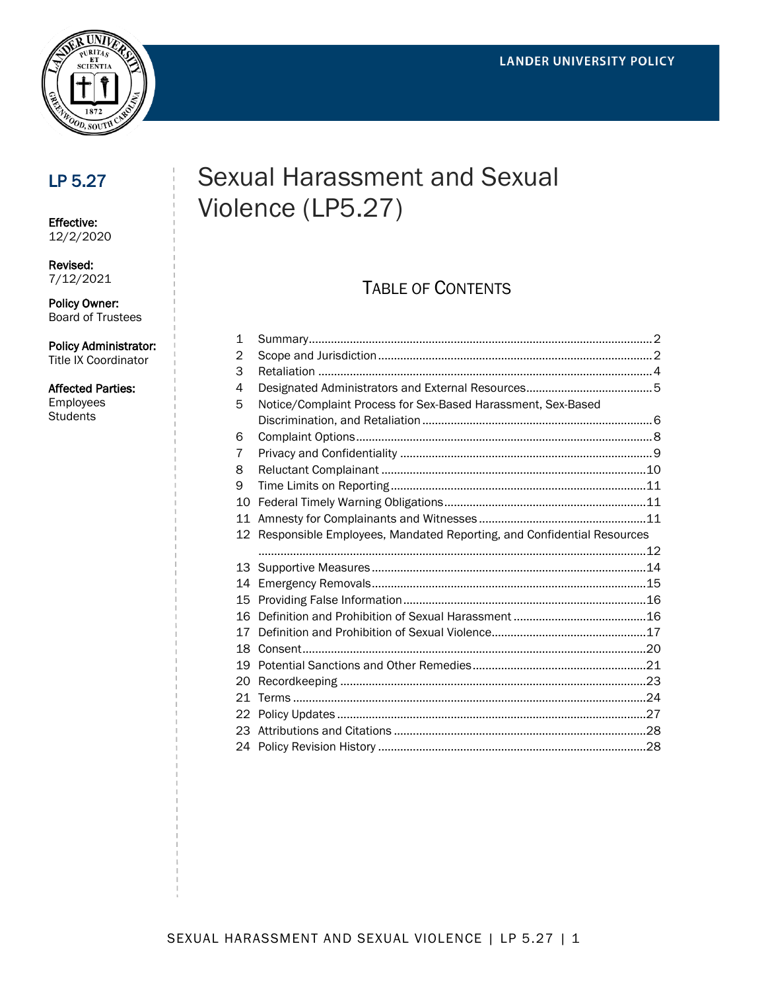

## LP 5.27

Effective: 12/2/2020

Revised: 7/12/2021

Policy Owner: Board of Trustees

Policy Administrator: Title IX Coordinator

#### Affected Parties:

Employees **Students** 

# Sexual Harassment and Sexual Violence (LP5.27)

## TABLE OF CONTENTS

| $\mathbf 1$ |                                                                       |  |
|-------------|-----------------------------------------------------------------------|--|
| 2           |                                                                       |  |
| 3           |                                                                       |  |
| 4           |                                                                       |  |
| 5           | Notice/Complaint Process for Sex-Based Harassment, Sex-Based          |  |
|             |                                                                       |  |
| 6           |                                                                       |  |
| 7           |                                                                       |  |
| 8           |                                                                       |  |
| 9           |                                                                       |  |
| 10          |                                                                       |  |
| 11          |                                                                       |  |
| 12          | Responsible Employees, Mandated Reporting, and Confidential Resources |  |
|             |                                                                       |  |
|             |                                                                       |  |
| 13          |                                                                       |  |
| 14          |                                                                       |  |
| 15          |                                                                       |  |
| 16          |                                                                       |  |
| 17          |                                                                       |  |
| 18          |                                                                       |  |
| 19          |                                                                       |  |
| 20          |                                                                       |  |
| 21          |                                                                       |  |
| 22          |                                                                       |  |
| 23          |                                                                       |  |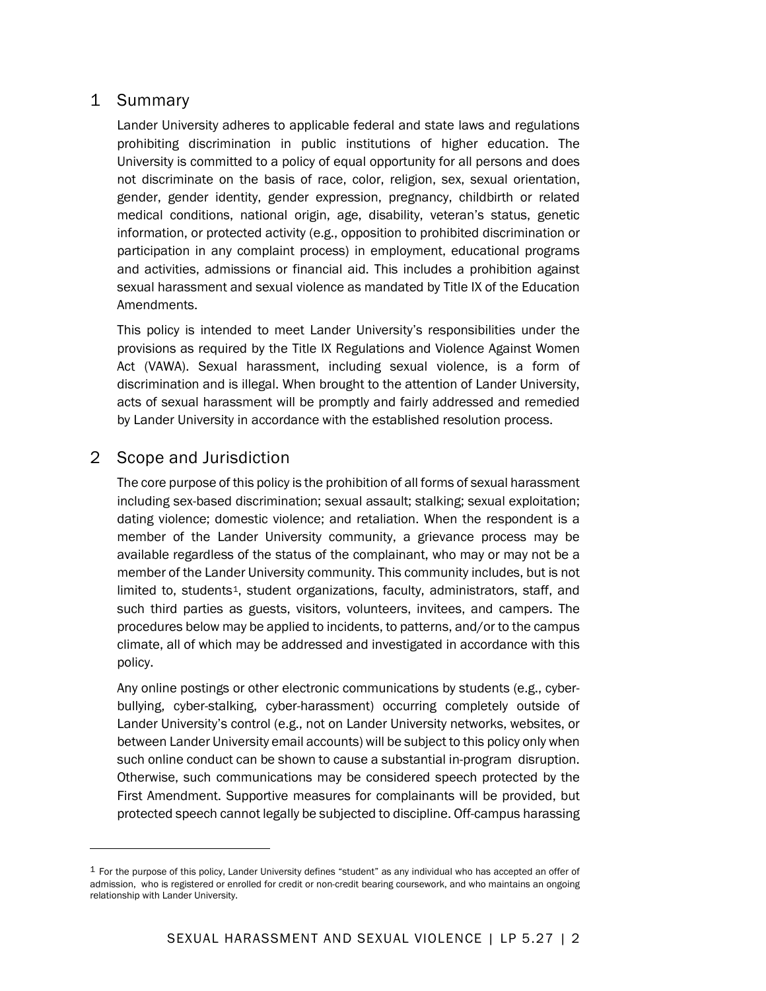## 1 Summary

Lander University adheres to applicable federal and state laws and regulations prohibiting discrimination in public institutions of higher education. The University is committed to a policy of equal opportunity for all persons and does not discriminate on the basis of race, color, religion, sex, sexual orientation, gender, gender identity, gender expression, pregnancy, childbirth or related medical conditions, national origin, age, disability, veteran's status, genetic information, or protected activity (e.g., opposition to prohibited discrimination or participation in any complaint process) in employment, educational programs and activities, admissions or financial aid. This includes a prohibition against sexual harassment and sexual violence as mandated by Title IX of the Education Amendments.

This policy is intended to meet Lander University's responsibilities under the provisions as required by the Title IX Regulations and Violence Against Women Act (VAWA). Sexual harassment, including sexual violence, is a form of discrimination and is illegal. When brought to the attention of Lander University, acts of sexual harassment will be promptly and fairly addressed and remedied by Lander University in accordance with the established resolution process.

## 2 Scope and Jurisdiction

The core purpose of this policy is the prohibition of all forms of sexual harassment including sex-based discrimination; sexual assault; stalking; sexual exploitation; dating violence; domestic violence; and retaliation. When the respondent is a member of the Lander University community, a grievance process may be available regardless of the status of the complainant, who may or may not be a member of the Lander University community. This community includes, but is not limited to, students<sup>[1](#page-1-0)</sup>, student organizations, faculty, administrators, staff, and such third parties as guests, visitors, volunteers, invitees, and campers. The procedures below may be applied to incidents, to patterns, and/or to the campus climate, all of which may be addressed and investigated in accordance with this policy.

Any online postings or other electronic communications by students (e.g., cyberbullying, cyber-stalking, cyber-harassment) occurring completely outside of Lander University's control (e.g., not on Lander University networks, websites, or between Lander University email accounts) will be subject to this policy only when such online conduct can be shown to cause a substantial in-program disruption. Otherwise, such communications may be considered speech protected by the First Amendment. Supportive measures for complainants will be provided, but protected speech cannot legally be subjected to discipline. Off-campus harassing

<span id="page-1-0"></span> $1$  For the purpose of this policy, Lander University defines "student" as any individual who has accepted an offer of admission, who is registered or enrolled for credit or non-credit bearing coursework, and who maintains an ongoing relationship with Lander University.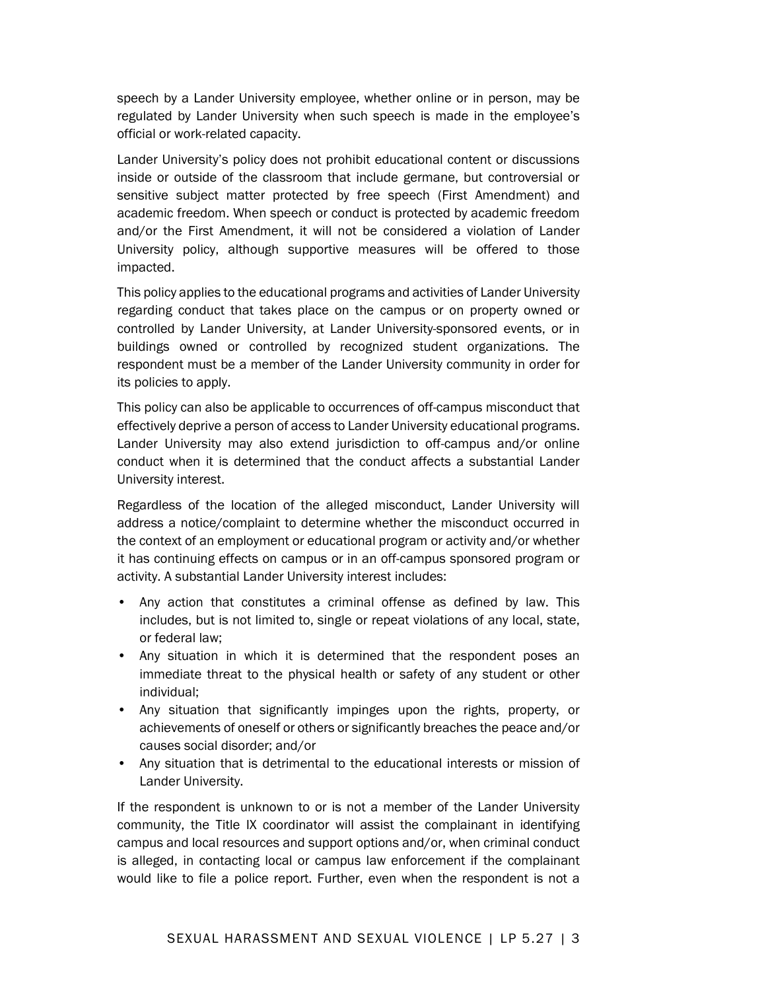speech by a Lander University employee, whether online or in person, may be regulated by Lander University when such speech is made in the employee's official or work-related capacity.

Lander University's policy does not prohibit educational content or discussions inside or outside of the classroom that include germane, but controversial or sensitive subject matter protected by free speech (First Amendment) and academic freedom. When speech or conduct is protected by academic freedom and/or the First Amendment, it will not be considered a violation of Lander University policy, although supportive measures will be offered to those impacted.

This policy applies to the educational programs and activities of Lander University regarding conduct that takes place on the campus or on property owned or controlled by Lander University, at Lander University-sponsored events, or in buildings owned or controlled by recognized student organizations. The respondent must be a member of the Lander University community in order for its policies to apply.

This policy can also be applicable to occurrences of off-campus misconduct that effectively deprive a person of access to Lander University educational programs. Lander University may also extend jurisdiction to off-campus and/or online conduct when it is determined that the conduct affects a substantial Lander University interest.

Regardless of the location of the alleged misconduct, Lander University will address a notice/complaint to determine whether the misconduct occurred in the context of an employment or educational program or activity and/or whether it has continuing effects on campus or in an off-campus sponsored program or activity. A substantial Lander University interest includes:

- Any action that constitutes a criminal offense as defined by law. This includes, but is not limited to, single or repeat violations of any local, state, or federal law;
- Any situation in which it is determined that the respondent poses an immediate threat to the physical health or safety of any student or other individual;
- Any situation that significantly impinges upon the rights, property, or achievements of oneself or others or significantly breaches the peace and/or causes social disorder; and/or
- Any situation that is detrimental to the educational interests or mission of Lander University.

If the respondent is unknown to or is not a member of the Lander University community, the Title IX coordinator will assist the complainant in identifying campus and local resources and support options and/or, when criminal conduct is alleged, in contacting local or campus law enforcement if the complainant would like to file a police report. Further, even when the respondent is not a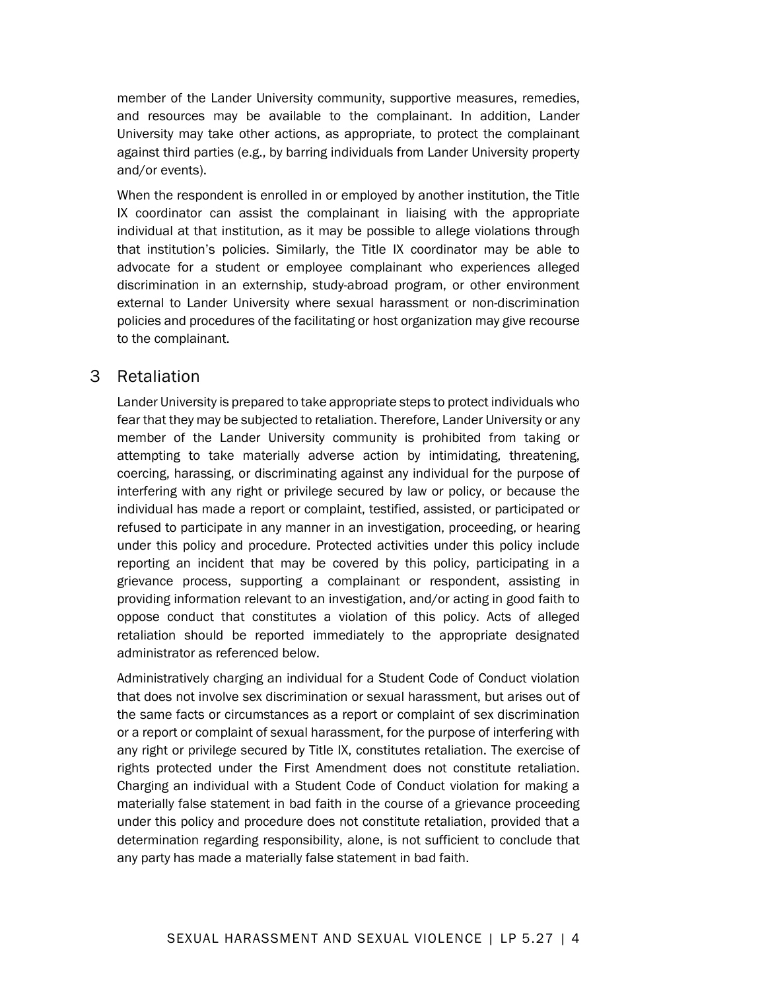member of the Lander University community, supportive measures, remedies, and resources may be available to the complainant. In addition, Lander University may take other actions, as appropriate, to protect the complainant against third parties (e.g., by barring individuals from Lander University property and/or events).

When the respondent is enrolled in or employed by another institution, the Title IX coordinator can assist the complainant in liaising with the appropriate individual at that institution, as it may be possible to allege violations through that institution's policies. Similarly, the Title IX coordinator may be able to advocate for a student or employee complainant who experiences alleged discrimination in an externship, study-abroad program, or other environment external to Lander University where sexual harassment or non-discrimination policies and procedures of the facilitating or host organization may give recourse to the complainant.

## 3 Retaliation

Lander University is prepared to take appropriate steps to protect individuals who fear that they may be subjected to retaliation. Therefore, Lander University or any member of the Lander University community is prohibited from taking or attempting to take materially adverse action by intimidating, threatening, coercing, harassing, or discriminating against any individual for the purpose of interfering with any right or privilege secured by law or policy, or because the individual has made a report or complaint, testified, assisted, or participated or refused to participate in any manner in an investigation, proceeding, or hearing under this policy and procedure. Protected activities under this policy include reporting an incident that may be covered by this policy, participating in a grievance process, supporting a complainant or respondent, assisting in providing information relevant to an investigation, and/or acting in good faith to oppose conduct that constitutes a violation of this policy. Acts of alleged retaliation should be reported immediately to the appropriate designated administrator as referenced below.

Administratively charging an individual for a Student Code of Conduct violation that does not involve sex discrimination or sexual harassment, but arises out of the same facts or circumstances as a report or complaint of sex discrimination or a report or complaint of sexual harassment, for the purpose of interfering with any right or privilege secured by Title IX, constitutes retaliation. The exercise of rights protected under the First Amendment does not constitute retaliation. Charging an individual with a Student Code of Conduct violation for making a materially false statement in bad faith in the course of a grievance proceeding under this policy and procedure does not constitute retaliation, provided that a determination regarding responsibility, alone, is not sufficient to conclude that any party has made a materially false statement in bad faith.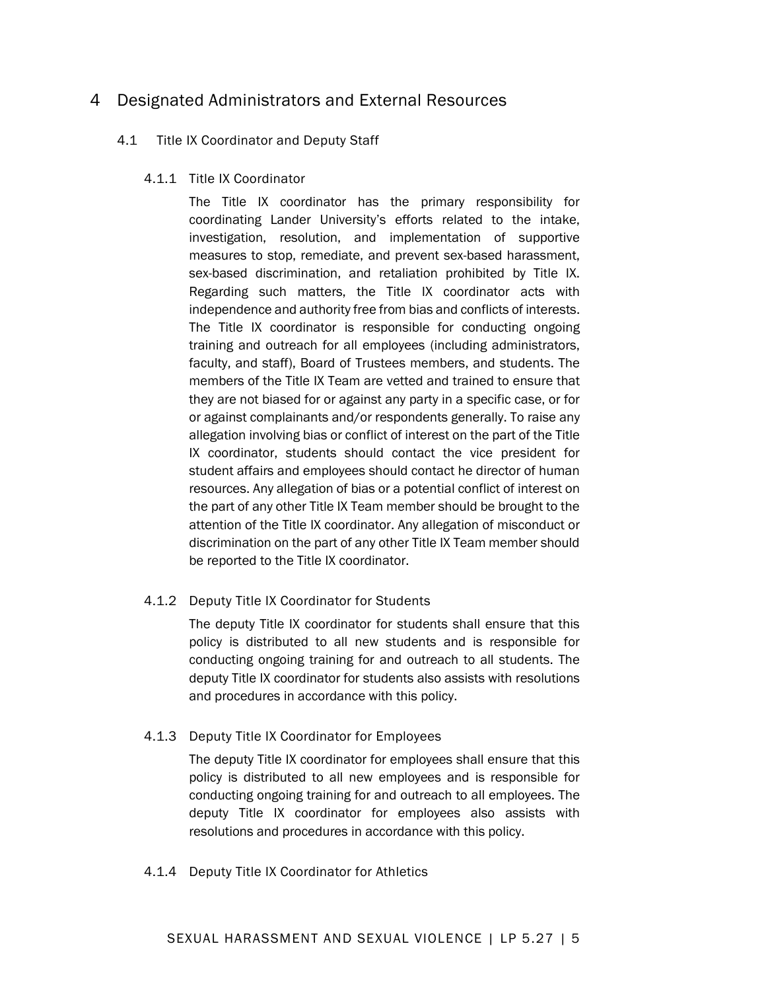## 4 Designated Administrators and External Resources

#### 4.1 Title IX Coordinator and Deputy Staff

#### 4.1.1 Title IX Coordinator

The Title IX coordinator has the primary responsibility for coordinating Lander University's efforts related to the intake, investigation, resolution, and implementation of supportive measures to stop, remediate, and prevent sex-based harassment, sex-based discrimination, and retaliation prohibited by Title IX. Regarding such matters, the Title IX coordinator acts with independence and authority free from bias and conflicts of interests. The Title IX coordinator is responsible for conducting ongoing training and outreach for all employees (including administrators, faculty, and staff), Board of Trustees members, and students. The members of the Title IX Team are vetted and trained to ensure that they are not biased for or against any party in a specific case, or for or against complainants and/or respondents generally. To raise any allegation involving bias or conflict of interest on the part of the Title IX coordinator, students should contact the vice president for student affairs and employees should contact he director of human resources. Any allegation of bias or a potential conflict of interest on the part of any other Title IX Team member should be brought to the attention of the Title IX coordinator. Any allegation of misconduct or discrimination on the part of any other Title IX Team member should be reported to the Title IX coordinator.

#### 4.1.2 Deputy Title IX Coordinator for Students

The deputy Title IX coordinator for students shall ensure that this policy is distributed to all new students and is responsible for conducting ongoing training for and outreach to all students. The deputy Title IX coordinator for students also assists with resolutions and procedures in accordance with this policy.

#### 4.1.3 Deputy Title IX Coordinator for Employees

The deputy Title IX coordinator for employees shall ensure that this policy is distributed to all new employees and is responsible for conducting ongoing training for and outreach to all employees. The deputy Title IX coordinator for employees also assists with resolutions and procedures in accordance with this policy.

#### 4.1.4 Deputy Title IX Coordinator for Athletics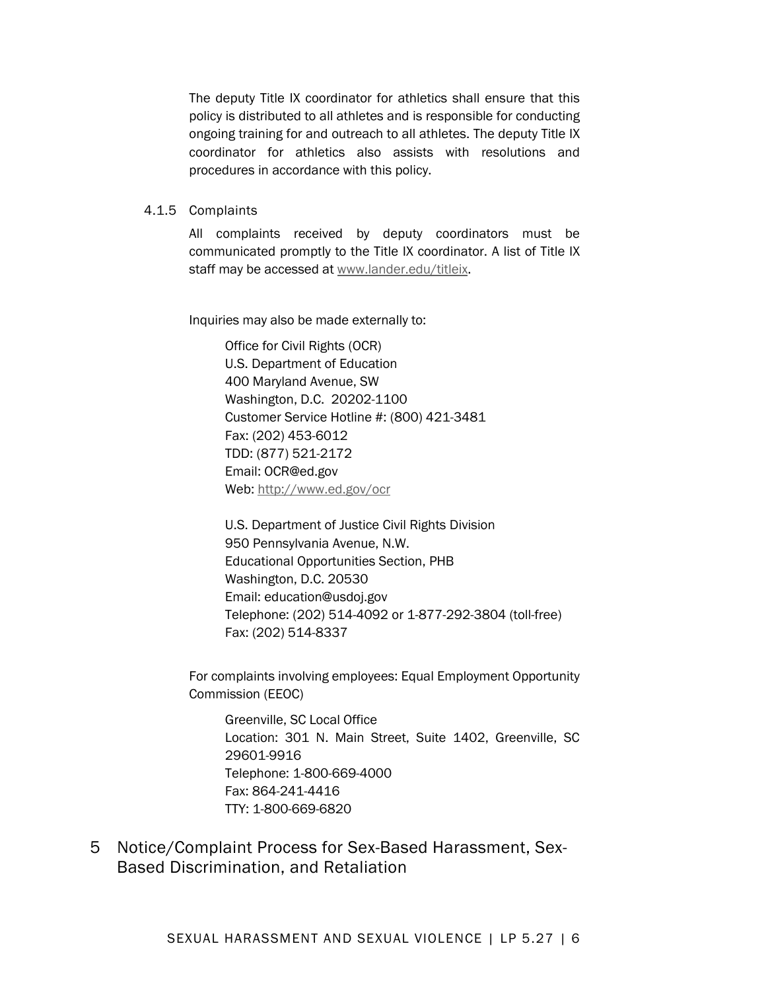The deputy Title IX coordinator for athletics shall ensure that this policy is distributed to all athletes and is responsible for conducting ongoing training for and outreach to all athletes. The deputy Title IX coordinator for athletics also assists with resolutions and procedures in accordance with this policy.

#### 4.1.5 Complaints

All complaints received by deputy coordinators must be communicated promptly to the Title IX coordinator. A list of Title IX staff may be accessed a[t www.lander.edu/titleix.](http://www.lander.edu/titleix)

Inquiries may also be made externally to:

Office for Civil Rights (OCR) U.S. Department of Education 400 Maryland Avenue, SW Washington, D.C. 20202-1100 Customer Service Hotline #: (800) 421-3481 Fax: (202) 453-6012 TDD: (877) 521-2172 Email: OCR@ed.gov Web:<http://www.ed.gov/ocr>

U.S. Department of Justice Civil Rights Division 950 Pennsylvania Avenue, N.W. Educational Opportunities Section, PHB Washington, D.C. 20530 Email: education@usdoj.gov Telephone: (202) 514-4092 or 1-877-292-3804 (toll-free) Fax: (202) 514-8337

For complaints involving employees: Equal Employment Opportunity Commission (EEOC)

Greenville, SC Local Office Location: 301 N. Main Street, Suite 1402, Greenville, SC 29601-9916 Telephone: 1-800-669-4000 Fax: 864-241-4416 TTY: 1-800-669-6820

5 Notice/Complaint Process for Sex-Based Harassment, Sex-Based Discrimination, and Retaliation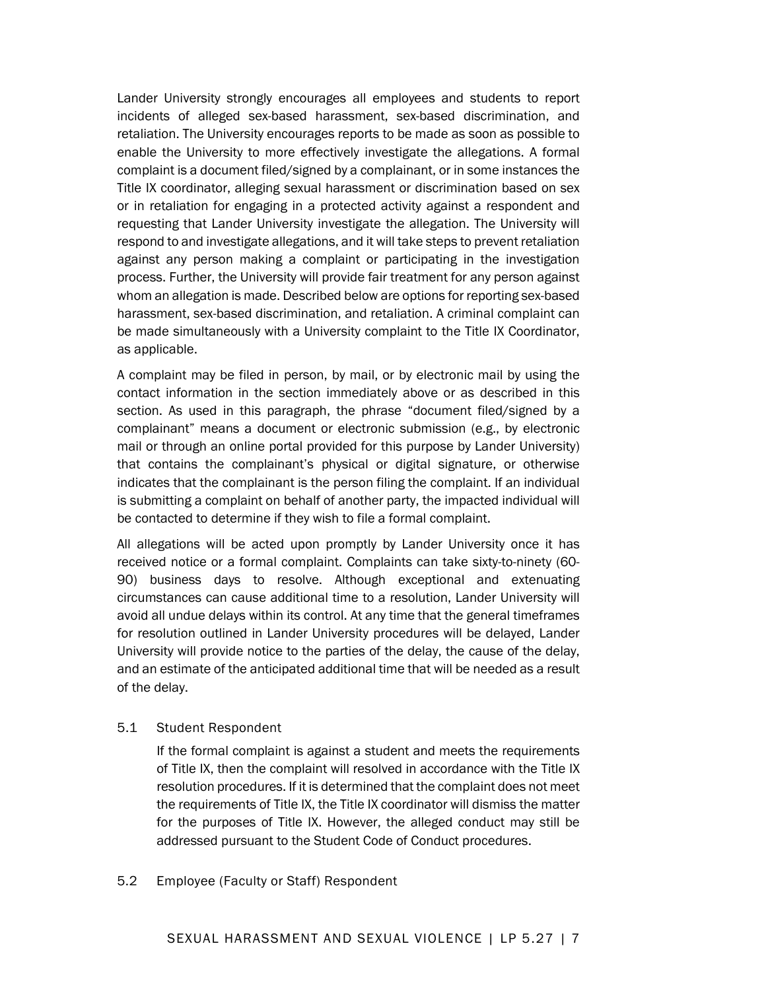Lander University strongly encourages all employees and students to report incidents of alleged sex-based harassment, sex-based discrimination, and retaliation. The University encourages reports to be made as soon as possible to enable the University to more effectively investigate the allegations. A formal complaint is a document filed/signed by a complainant, or in some instances the Title IX coordinator, alleging sexual harassment or discrimination based on sex or in retaliation for engaging in a protected activity against a respondent and requesting that Lander University investigate the allegation. The University will respond to and investigate allegations, and it will take steps to prevent retaliation against any person making a complaint or participating in the investigation process. Further, the University will provide fair treatment for any person against whom an allegation is made. Described below are options for reporting sex-based harassment, sex-based discrimination, and retaliation. A criminal complaint can be made simultaneously with a University complaint to the Title IX Coordinator, as applicable.

A complaint may be filed in person, by mail, or by electronic mail by using the contact information in the section immediately above or as described in this section. As used in this paragraph, the phrase "document filed/signed by a complainant" means a document or electronic submission (e.g., by electronic mail or through an online portal provided for this purpose by Lander University) that contains the complainant's physical or digital signature, or otherwise indicates that the complainant is the person filing the complaint. If an individual is submitting a complaint on behalf of another party, the impacted individual will be contacted to determine if they wish to file a formal complaint.

All allegations will be acted upon promptly by Lander University once it has received notice or a formal complaint. Complaints can take sixty-to-ninety (60- 90) business days to resolve. Although exceptional and extenuating circumstances can cause additional time to a resolution, Lander University will avoid all undue delays within its control. At any time that the general timeframes for resolution outlined in Lander University procedures will be delayed, Lander University will provide notice to the parties of the delay, the cause of the delay, and an estimate of the anticipated additional time that will be needed as a result of the delay.

#### 5.1 Student Respondent

If the formal complaint is against a student and meets the requirements of Title IX, then the complaint will resolved in accordance with the Title IX resolution procedures. If it is determined that the complaint does not meet the requirements of Title IX, the Title IX coordinator will dismiss the matter for the purposes of Title IX. However, the alleged conduct may still be addressed pursuant to the Student Code of Conduct procedures.

#### 5.2 Employee (Faculty or Staff) Respondent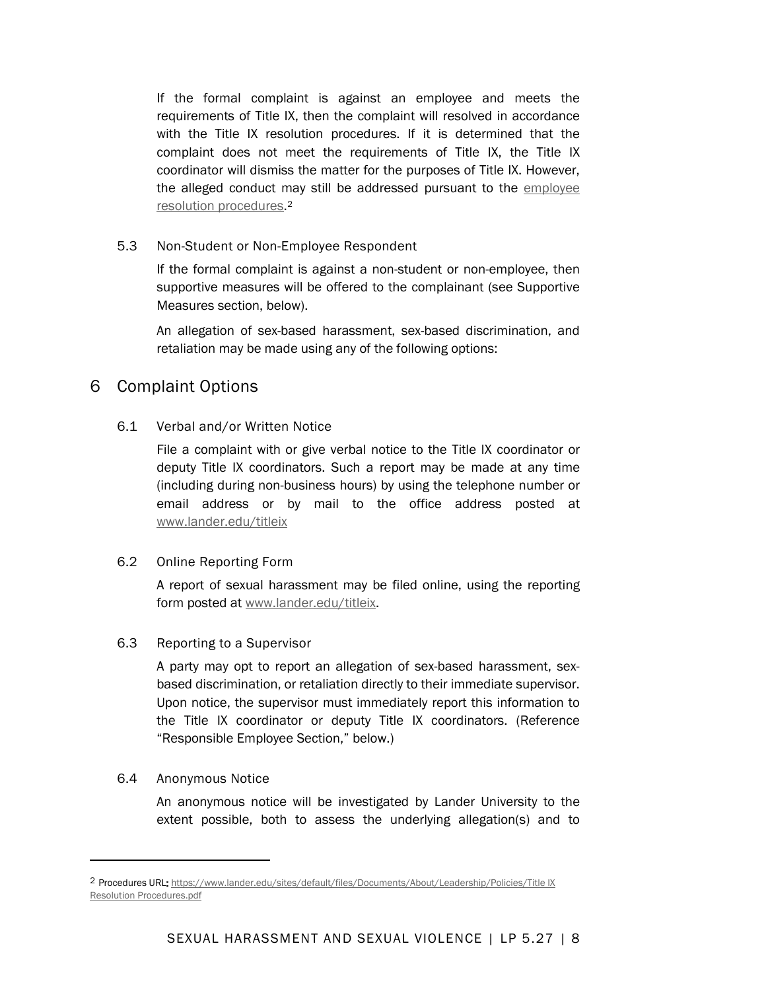If the formal complaint is against an employee and meets the requirements of Title IX, then the complaint will resolved in accordance with the Title IX resolution procedures. If it is determined that the complaint does not meet the requirements of Title IX, the Title IX coordinator will dismiss the matter for the purposes of Title IX. However, the alleged conduct may still be addressed pursuant to the [employee](https://www.lander.edu/sites/default/files/Documents/About/Leadership/Policies/Title%20IX%20Resolution%20Procedures.pdf)  [resolution procedures.](https://www.lander.edu/sites/default/files/Documents/About/Leadership/Policies/Title%20IX%20Resolution%20Procedures.pdf)[2](#page-7-0)

#### 5.3 Non-Student or Non-Employee Respondent

If the formal complaint is against a non-student or non-employee, then supportive measures will be offered to the complainant (see Supportive Measures section, below).

An allegation of sex-based harassment, sex-based discrimination, and retaliation may be made using any of the following options:

## 6 Complaint Options

#### 6.1 Verbal and/or Written Notice

File a complaint with or give verbal notice to the Title IX coordinator or deputy Title IX coordinators. Such a report may be made at any time (including during non-business hours) by using the telephone number or email address or by mail to the office address posted at [www.lander.edu/titleix](http://www.lander.edu/titleix)

#### 6.2 Online Reporting Form

A report of sexual harassment may be filed online, using the reporting form posted at [www.lander.edu/titleix.](http://www.lander.edu/titleix)

#### 6.3 Reporting to a Supervisor

A party may opt to report an allegation of sex-based harassment, sexbased discrimination, or retaliation directly to their immediate supervisor. Upon notice, the supervisor must immediately report this information to the Title IX coordinator or deputy Title IX coordinators. (Reference "Responsible Employee Section," below.)

#### 6.4 Anonymous Notice

An anonymous notice will be investigated by Lander University to the extent possible, both to assess the underlying allegation(s) and to

<span id="page-7-0"></span><sup>2</sup> Procedures URL: [https://www.lander.edu/sites/default/files/Documents/About/Leadership/Policies/Title IX](https://www.lander.edu/sites/default/files/Documents/About/Leadership/Policies/Title%20IX%20Resolution%20Procedures.pdf)  [Resolution Procedures.pdf](https://www.lander.edu/sites/default/files/Documents/About/Leadership/Policies/Title%20IX%20Resolution%20Procedures.pdf)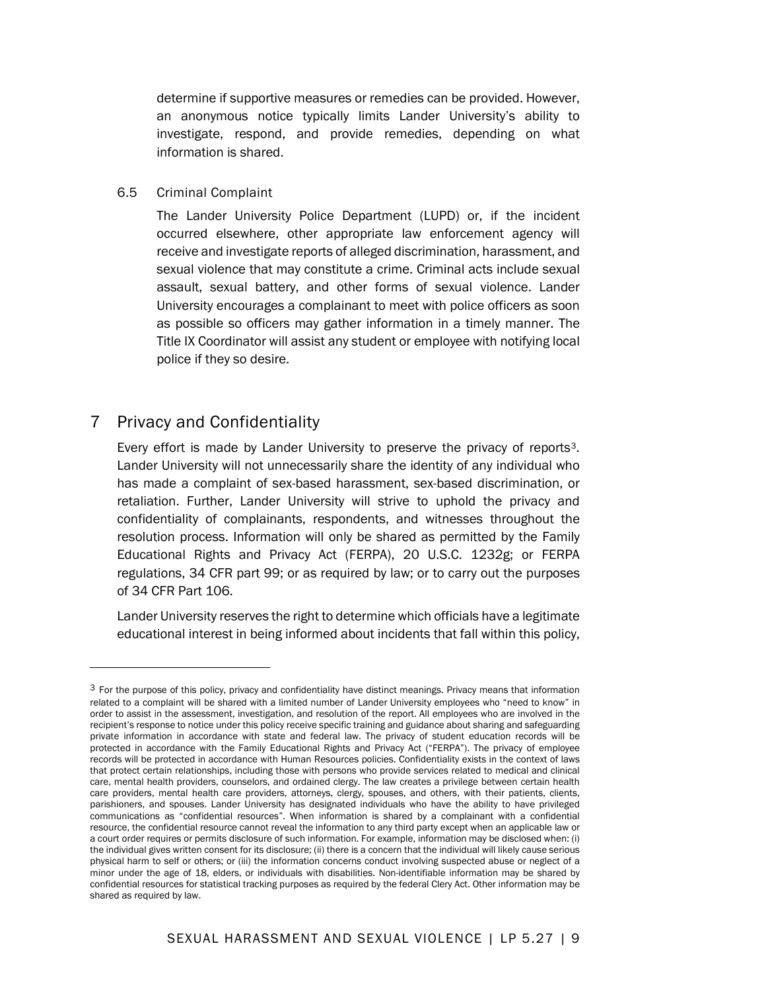determine if supportive measures or remedies can be provided. However, an anonymous notice typically limits Lander University's ability to investigate, respond, and provide remedies, depending on what information is shared.

6.5 Criminal Complaint

The Lander University Police Department (LUPD) or, if the incident occurred elsewhere, other appropriate law enforcement agency will receive and investigate reports of alleged discrimination, harassment, and sexual violence that may constitute a crime. Criminal acts include sexual assault, sexual battery, and other forms of sexual violence. Lander University encourages a complainant to meet with police officers as soon as possible so officers may gather information in a timely manner. The Title IX Coordinator will assist any student or employee with notifying local police if they so desire.

## 7 Privacy and Confidentiality

Every effort is made by Lander University to preserve the privacy of reports<sup>3</sup>. Lander University will not unnecessarily share the identity of any individual who has made a complaint of sex-based harassment, sex-based discrimination, or retaliation. Further, Lander University will strive to uphold the privacy and confidentiality of complainants, respondents, and witnesses throughout the resolution process. Information will only be shared as permitted by the Family Educational Rights and Privacy Act (FERPA), 20 U.S.C. 1232g; or FERPA regulations, 34 CFR part 99; or as required by law; or to carry out the purposes of 34 CFR Part 106.

Lander University reserves the right to determine which officials have a legitimate educational interest in being informed about incidents that fall within this policy,

<span id="page-8-0"></span><sup>&</sup>lt;sup>3</sup> For the purpose of this policy, privacy and confidentiality have distinct meanings. Privacy means that information related to a complaint will be shared with a limited number of Lander University employees who "need to know" in order to assist in the assessment, investigation, and resolution of the report. All employees who are involved in the recipient's response to notice under this policy receive specific training and guidance about sharing and safeguarding private information in accordance with state and federal law. The privacy of student education records will be protected in accordance with the Family Educational Rights and Privacy Act ("FERPA"). The privacy of employee records will be protected in accordance with Human Resources policies. Confidentiality exists in the context of laws that protect certain relationships, including those with persons who provide services related to medical and clinical care, mental health providers, counselors, and ordained clergy. The law creates a privilege between certain health care providers, mental health care providers, attorneys, clergy, spouses, and others, with their patients, clients, parishioners, and spouses. Lander University has designated individuals who have the ability to have privileged communications as "confidential resources". When information is shared by a complainant with a confidential resource, the confidential resource cannot reveal the information to any third party except when an applicable law or a court order requires or permits disclosure of such information. For example, information may be disclosed when: (i) the individual gives written consent for its disclosure; (ii) there is a concern that the individual will likely cause serious physical harm to self or others; or (iii) the information concerns conduct involving suspected abuse or neglect of a minor under the age of 18, elders, or individuals with disabilities. Non-identifiable information may be shared by confidential resources for statistical tracking purposes as required by the federal Clery Act. Other information may be shared as required by law.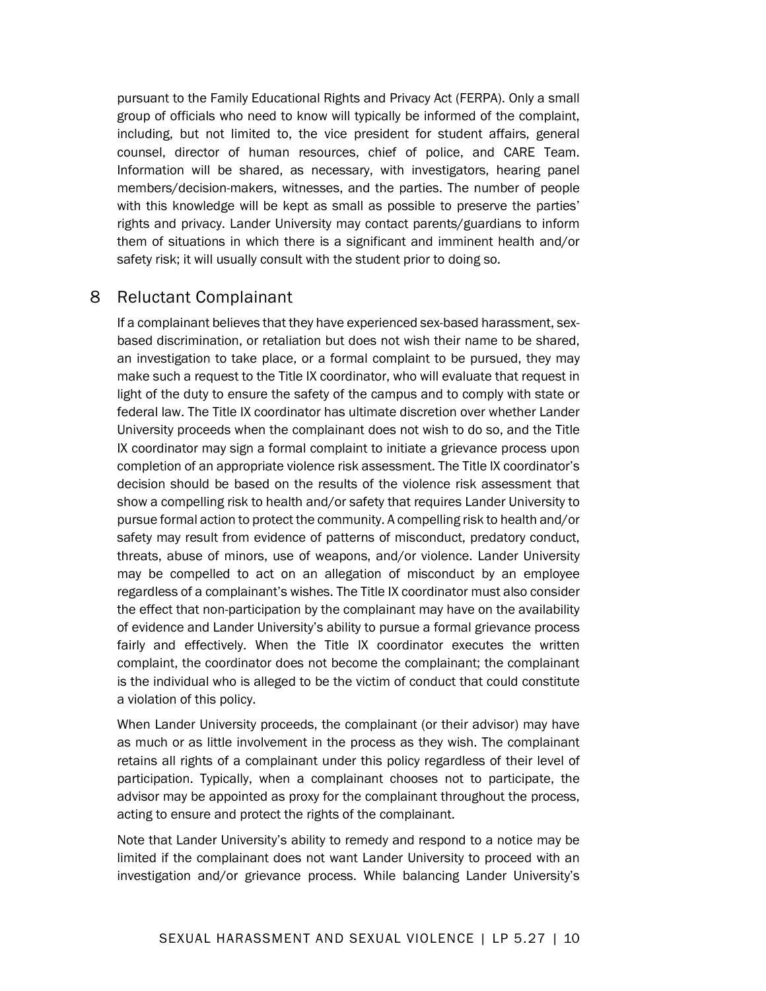pursuant to the Family Educational Rights and Privacy Act (FERPA). Only a small group of officials who need to know will typically be informed of the complaint, including, but not limited to, the vice president for student affairs, general counsel, director of human resources, chief of police, and CARE Team. Information will be shared, as necessary, with investigators, hearing panel members/decision-makers, witnesses, and the parties. The number of people with this knowledge will be kept as small as possible to preserve the parties' rights and privacy. Lander University may contact parents/guardians to inform them of situations in which there is a significant and imminent health and/or safety risk; it will usually consult with the student prior to doing so.

### 8 Reluctant Complainant

If a complainant believes that they have experienced sex-based harassment, sexbased discrimination, or retaliation but does not wish their name to be shared, an investigation to take place, or a formal complaint to be pursued, they may make such a request to the Title IX coordinator, who will evaluate that request in light of the duty to ensure the safety of the campus and to comply with state or federal law. The Title IX coordinator has ultimate discretion over whether Lander University proceeds when the complainant does not wish to do so, and the Title IX coordinator may sign a formal complaint to initiate a grievance process upon completion of an appropriate violence risk assessment. The Title IX coordinator's decision should be based on the results of the violence risk assessment that show a compelling risk to health and/or safety that requires Lander University to pursue formal action to protect the community. A compelling risk to health and/or safety may result from evidence of patterns of misconduct, predatory conduct, threats, abuse of minors, use of weapons, and/or violence. Lander University may be compelled to act on an allegation of misconduct by an employee regardless of a complainant's wishes. The Title IX coordinator must also consider the effect that non-participation by the complainant may have on the availability of evidence and Lander University's ability to pursue a formal grievance process fairly and effectively. When the Title IX coordinator executes the written complaint, the coordinator does not become the complainant; the complainant is the individual who is alleged to be the victim of conduct that could constitute a violation of this policy.

When Lander University proceeds, the complainant (or their advisor) may have as much or as little involvement in the process as they wish. The complainant retains all rights of a complainant under this policy regardless of their level of participation. Typically, when a complainant chooses not to participate, the advisor may be appointed as proxy for the complainant throughout the process, acting to ensure and protect the rights of the complainant.

Note that Lander University's ability to remedy and respond to a notice may be limited if the complainant does not want Lander University to proceed with an investigation and/or grievance process. While balancing Lander University's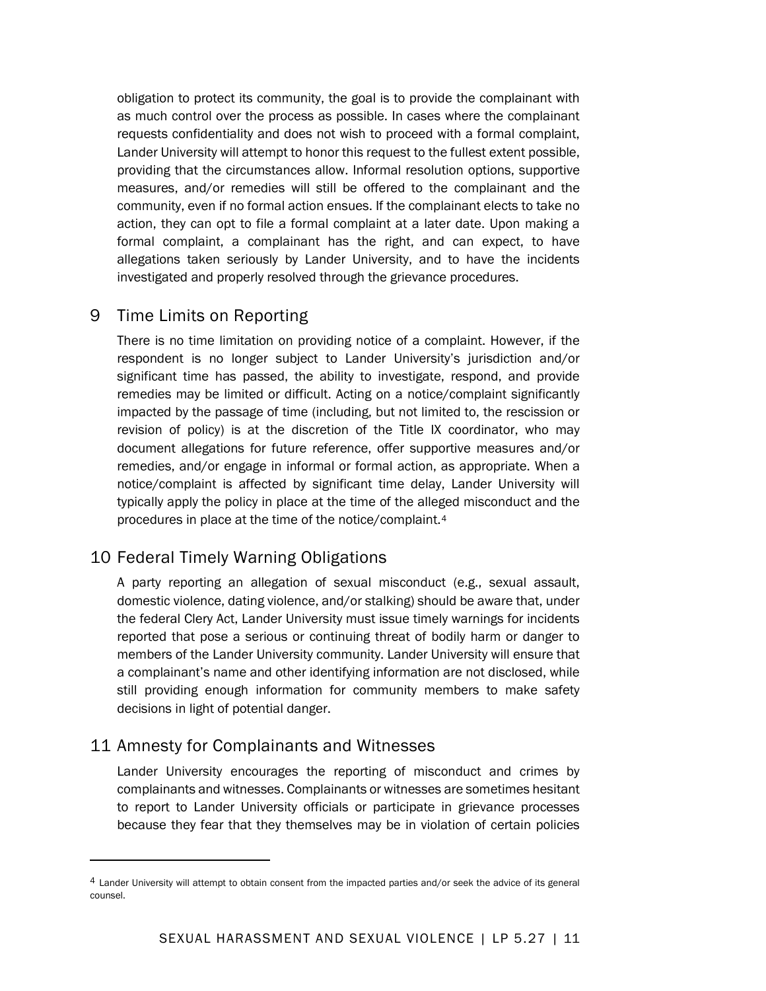obligation to protect its community, the goal is to provide the complainant with as much control over the process as possible. In cases where the complainant requests confidentiality and does not wish to proceed with a formal complaint, Lander University will attempt to honor this request to the fullest extent possible, providing that the circumstances allow. Informal resolution options, supportive measures, and/or remedies will still be offered to the complainant and the community, even if no formal action ensues. If the complainant elects to take no action, they can opt to file a formal complaint at a later date. Upon making a formal complaint, a complainant has the right, and can expect, to have allegations taken seriously by Lander University, and to have the incidents investigated and properly resolved through the grievance procedures.

## 9 Time Limits on Reporting

There is no time limitation on providing notice of a complaint. However, if the respondent is no longer subject to Lander University's jurisdiction and/or significant time has passed, the ability to investigate, respond, and provide remedies may be limited or difficult. Acting on a notice/complaint significantly impacted by the passage of time (including, but not limited to, the rescission or revision of policy) is at the discretion of the Title IX coordinator, who may document allegations for future reference, offer supportive measures and/or remedies, and/or engage in informal or formal action, as appropriate. When a notice/complaint is affected by significant time delay, Lander University will typically apply the policy in place at the time of the alleged misconduct and the procedures in place at the time of the notice/complaint.[4](#page-10-0)

## 10 Federal Timely Warning Obligations

A party reporting an allegation of sexual misconduct (e.g., sexual assault, domestic violence, dating violence, and/or stalking) should be aware that, under the federal Clery Act, Lander University must issue timely warnings for incidents reported that pose a serious or continuing threat of bodily harm or danger to members of the Lander University community. Lander University will ensure that a complainant's name and other identifying information are not disclosed, while still providing enough information for community members to make safety decisions in light of potential danger.

## 11 Amnesty for Complainants and Witnesses

Lander University encourages the reporting of misconduct and crimes by complainants and witnesses. Complainants or witnesses are sometimes hesitant to report to Lander University officials or participate in grievance processes because they fear that they themselves may be in violation of certain policies

<span id="page-10-0"></span><sup>4</sup> Lander University will attempt to obtain consent from the impacted parties and/or seek the advice of its general counsel.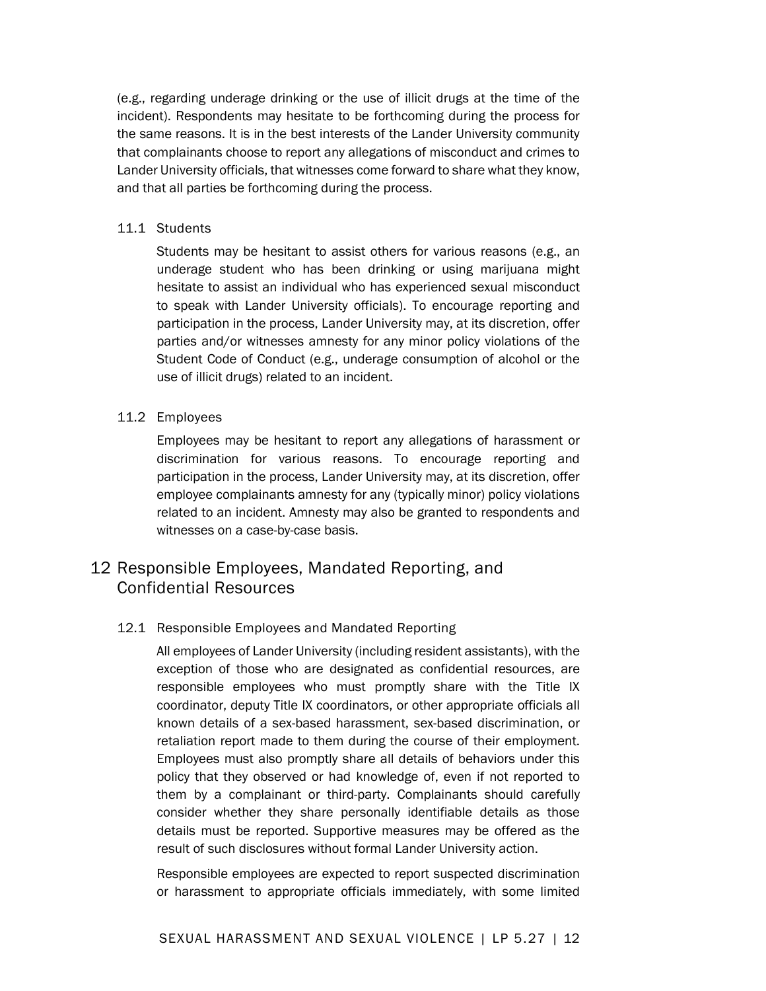(e.g., regarding underage drinking or the use of illicit drugs at the time of the incident). Respondents may hesitate to be forthcoming during the process for the same reasons. It is in the best interests of the Lander University community that complainants choose to report any allegations of misconduct and crimes to Lander University officials, that witnesses come forward to share what they know, and that all parties be forthcoming during the process.

#### 11.1 Students

Students may be hesitant to assist others for various reasons (e.g., an underage student who has been drinking or using marijuana might hesitate to assist an individual who has experienced sexual misconduct to speak with Lander University officials). To encourage reporting and participation in the process, Lander University may, at its discretion, offer parties and/or witnesses amnesty for any minor policy violations of the Student Code of Conduct (e.g., underage consumption of alcohol or the use of illicit drugs) related to an incident.

#### 11.2 Employees

Employees may be hesitant to report any allegations of harassment or discrimination for various reasons. To encourage reporting and participation in the process, Lander University may, at its discretion, offer employee complainants amnesty for any (typically minor) policy violations related to an incident. Amnesty may also be granted to respondents and witnesses on a case-by-case basis.

## 12 Responsible Employees, Mandated Reporting, and Confidential Resources

#### 12.1 Responsible Employees and Mandated Reporting

All employees of Lander University (including resident assistants), with the exception of those who are designated as confidential resources, are responsible employees who must promptly share with the Title IX coordinator, deputy Title IX coordinators, or other appropriate officials all known details of a sex-based harassment, sex-based discrimination, or retaliation report made to them during the course of their employment. Employees must also promptly share all details of behaviors under this policy that they observed or had knowledge of, even if not reported to them by a complainant or third-party. Complainants should carefully consider whether they share personally identifiable details as those details must be reported. Supportive measures may be offered as the result of such disclosures without formal Lander University action.

Responsible employees are expected to report suspected discrimination or harassment to appropriate officials immediately, with some limited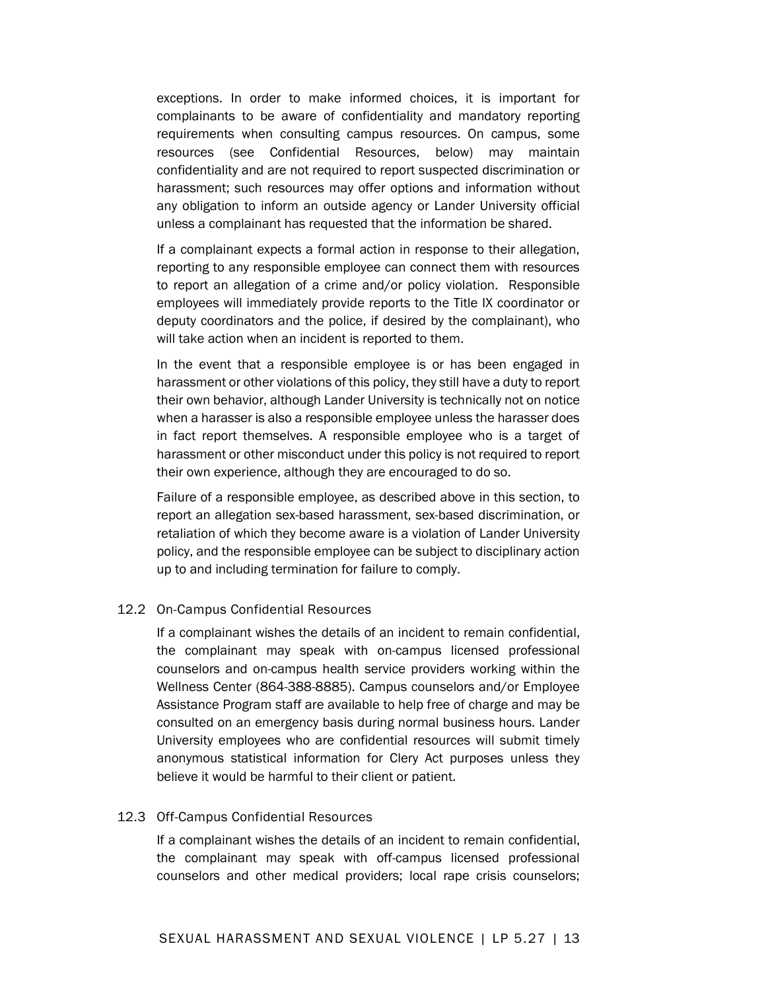exceptions. In order to make informed choices, it is important for complainants to be aware of confidentiality and mandatory reporting requirements when consulting campus resources. On campus, some resources (see Confidential Resources, below) may maintain confidentiality and are not required to report suspected discrimination or harassment; such resources may offer options and information without any obligation to inform an outside agency or Lander University official unless a complainant has requested that the information be shared.

If a complainant expects a formal action in response to their allegation, reporting to any responsible employee can connect them with resources to report an allegation of a crime and/or policy violation. Responsible employees will immediately provide reports to the Title IX coordinator or deputy coordinators and the police, if desired by the complainant), who will take action when an incident is reported to them.

In the event that a responsible employee is or has been engaged in harassment or other violations of this policy, they still have a duty to report their own behavior, although Lander University is technically not on notice when a harasser is also a responsible employee unless the harasser does in fact report themselves. A responsible employee who is a target of harassment or other misconduct under this policy is not required to report their own experience, although they are encouraged to do so.

Failure of a responsible employee, as described above in this section, to report an allegation sex-based harassment, sex-based discrimination, or retaliation of which they become aware is a violation of Lander University policy, and the responsible employee can be subject to disciplinary action up to and including termination for failure to comply.

#### 12.2 On-Campus Confidential Resources

If a complainant wishes the details of an incident to remain confidential, the complainant may speak with on-campus licensed professional counselors and on-campus health service providers working within the Wellness Center (864-388-8885). Campus counselors and/or Employee Assistance Program staff are available to help free of charge and may be consulted on an emergency basis during normal business hours. Lander University employees who are confidential resources will submit timely anonymous statistical information for Clery Act purposes unless they believe it would be harmful to their client or patient.

#### 12.3 Off-Campus Confidential Resources

If a complainant wishes the details of an incident to remain confidential, the complainant may speak with off-campus licensed professional counselors and other medical providers; local rape crisis counselors;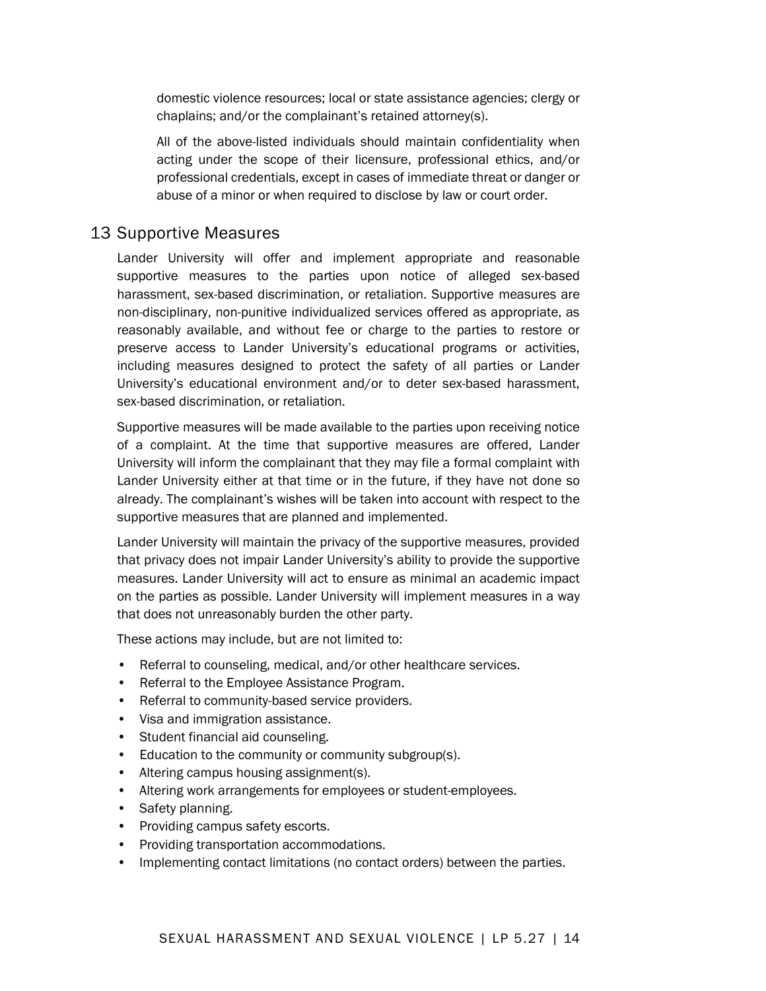domestic violence resources; local or state assistance agencies; clergy or chaplains; and/or the complainant's retained attorney(s).

All of the above-listed individuals should maintain confidentiality when acting under the scope of their licensure, professional ethics, and/or professional credentials, except in cases of immediate threat or danger or abuse of a minor or when required to disclose by law or court order.

## 13 Supportive Measures

Lander University will offer and implement appropriate and reasonable supportive measures to the parties upon notice of alleged sex-based harassment, sex-based discrimination, or retaliation. Supportive measures are non-disciplinary, non-punitive individualized services offered as appropriate, as reasonably available, and without fee or charge to the parties to restore or preserve access to Lander University's educational programs or activities, including measures designed to protect the safety of all parties or Lander University's educational environment and/or to deter sex-based harassment, sex-based discrimination, or retaliation.

Supportive measures will be made available to the parties upon receiving notice of a complaint. At the time that supportive measures are offered, Lander University will inform the complainant that they may file a formal complaint with Lander University either at that time or in the future, if they have not done so already. The complainant's wishes will be taken into account with respect to the supportive measures that are planned and implemented.

Lander University will maintain the privacy of the supportive measures, provided that privacy does not impair Lander University's ability to provide the supportive measures. Lander University will act to ensure as minimal an academic impact on the parties as possible. Lander University will implement measures in a way that does not unreasonably burden the other party.

These actions may include, but are not limited to:

- Referral to counseling, medical, and/or other healthcare services.
- Referral to the Employee Assistance Program.
- Referral to community-based service providers.
- Visa and immigration assistance.
- Student financial aid counseling.
- Education to the community or community subgroup(s).
- Altering campus housing assignment(s).
- Altering work arrangements for employees or student-employees.
- Safety planning.
- Providing campus safety escorts.
- Providing transportation accommodations.
- Implementing contact limitations (no contact orders) between the parties.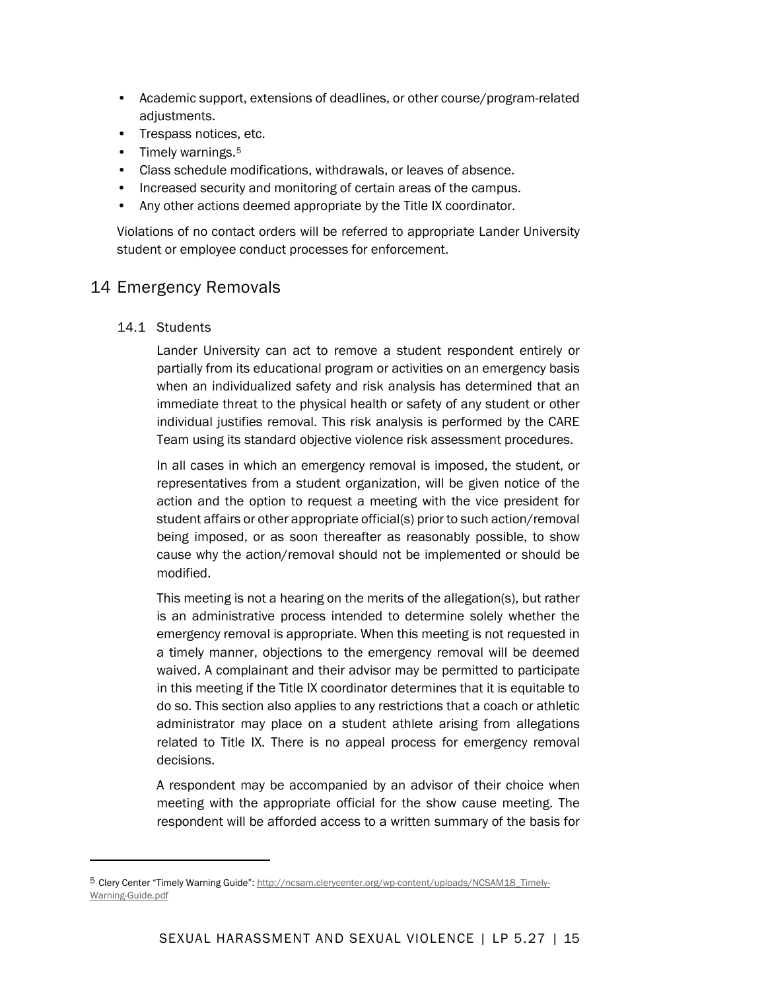- Academic support, extensions of deadlines, or other course/program-related adjustments.
- Trespass notices, etc.
- Timely warnings.<sup>[5](#page-14-0)</sup>
- Class schedule modifications, withdrawals, or leaves of absence.
- Increased security and monitoring of certain areas of the campus.
- Any other actions deemed appropriate by the Title IX coordinator.

Violations of no contact orders will be referred to appropriate Lander University student or employee conduct processes for enforcement.

## 14 Emergency Removals

14.1 Students

Lander University can act to remove a student respondent entirely or partially from its educational program or activities on an emergency basis when an individualized safety and risk analysis has determined that an immediate threat to the physical health or safety of any student or other individual justifies removal. This risk analysis is performed by the CARE Team using its standard objective violence risk assessment procedures.

In all cases in which an emergency removal is imposed, the student, or representatives from a student organization, will be given notice of the action and the option to request a meeting with the vice president for student affairs or other appropriate official(s) prior to such action/removal being imposed, or as soon thereafter as reasonably possible, to show cause why the action/removal should not be implemented or should be modified.

This meeting is not a hearing on the merits of the allegation(s), but rather is an administrative process intended to determine solely whether the emergency removal is appropriate. When this meeting is not requested in a timely manner, objections to the emergency removal will be deemed waived. A complainant and their advisor may be permitted to participate in this meeting if the Title IX coordinator determines that it is equitable to do so. This section also applies to any restrictions that a coach or athletic administrator may place on a student athlete arising from allegations related to Title IX. There is no appeal process for emergency removal decisions.

A respondent may be accompanied by an advisor of their choice when meeting with the appropriate official for the show cause meeting. The respondent will be afforded access to a written summary of the basis for

<span id="page-14-0"></span><sup>5</sup> Clery Center "Timely Warning Guide"[: http://ncsam.clerycenter.org/wp-content/uploads/NCSAM18\\_Timely-](http://ncsam.clerycenter.org/wp-content/uploads/NCSAM18_Timely-Warning-Guide.pdf)[Warning-Guide.pdf](http://ncsam.clerycenter.org/wp-content/uploads/NCSAM18_Timely-Warning-Guide.pdf)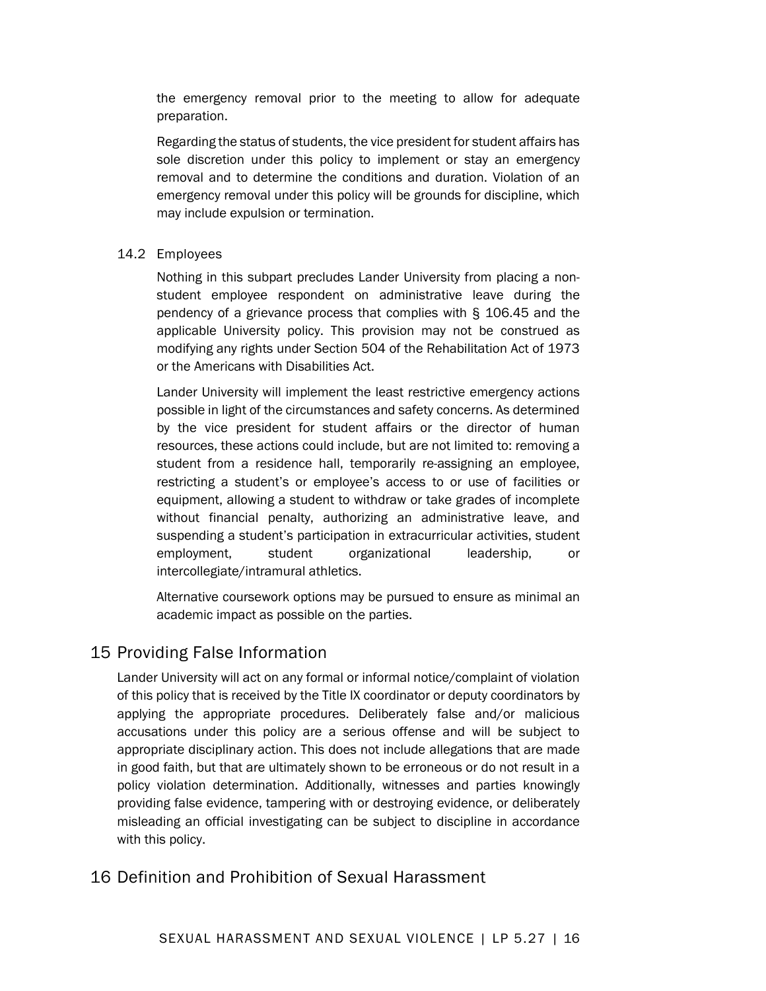the emergency removal prior to the meeting to allow for adequate preparation.

Regarding the status of students, the vice president for student affairs has sole discretion under this policy to implement or stay an emergency removal and to determine the conditions and duration. Violation of an emergency removal under this policy will be grounds for discipline, which may include expulsion or termination.

#### 14.2 Employees

Nothing in this subpart precludes Lander University from placing a nonstudent employee respondent on administrative leave during the pendency of a grievance process that complies with § 106.45 and the applicable University policy. This provision may not be construed as modifying any rights under Section 504 of the Rehabilitation Act of 1973 or the Americans with Disabilities Act.

Lander University will implement the least restrictive emergency actions possible in light of the circumstances and safety concerns. As determined by the vice president for student affairs or the director of human resources, these actions could include, but are not limited to: removing a student from a residence hall, temporarily re-assigning an employee, restricting a student's or employee's access to or use of facilities or equipment, allowing a student to withdraw or take grades of incomplete without financial penalty, authorizing an administrative leave, and suspending a student's participation in extracurricular activities, student employment, student organizational leadership, or intercollegiate/intramural athletics.

Alternative coursework options may be pursued to ensure as minimal an academic impact as possible on the parties.

## 15 Providing False Information

Lander University will act on any formal or informal notice/complaint of violation of this policy that is received by the Title IX coordinator or deputy coordinators by applying the appropriate procedures. Deliberately false and/or malicious accusations under this policy are a serious offense and will be subject to appropriate disciplinary action. This does not include allegations that are made in good faith, but that are ultimately shown to be erroneous or do not result in a policy violation determination. Additionally, witnesses and parties knowingly providing false evidence, tampering with or destroying evidence, or deliberately misleading an official investigating can be subject to discipline in accordance with this policy.

## 16 Definition and Prohibition of Sexual Harassment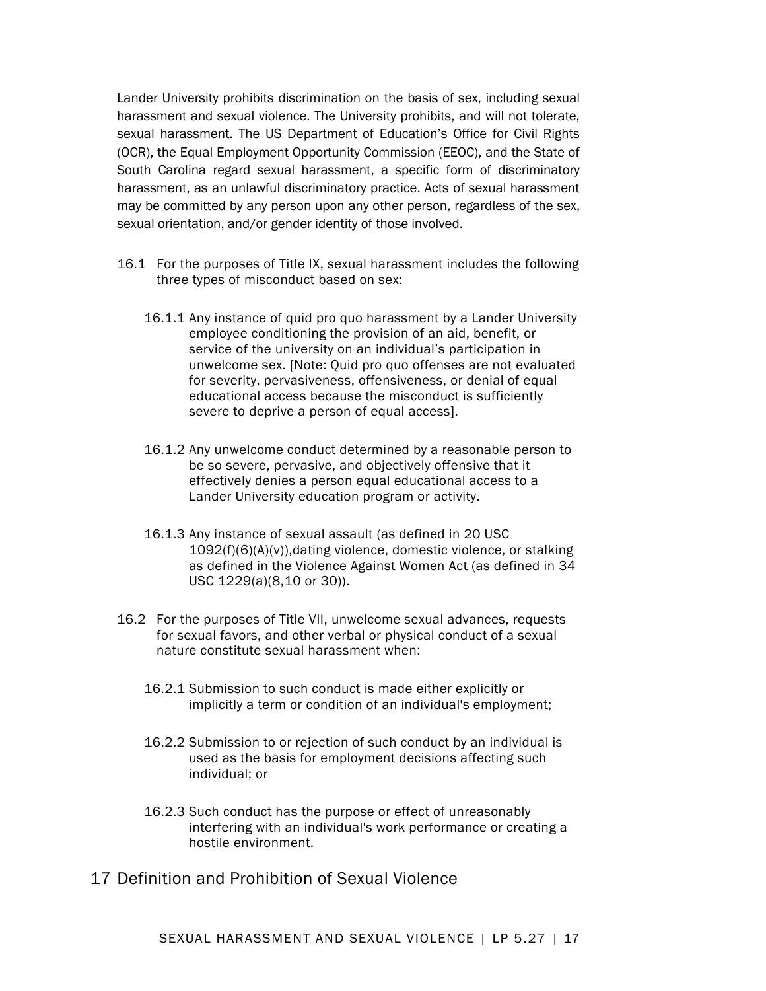Lander University prohibits discrimination on the basis of sex, including sexual harassment and sexual violence. The University prohibits, and will not tolerate, sexual harassment. The US Department of Education's Office for Civil Rights (OCR), the Equal Employment Opportunity Commission (EEOC), and the State of South Carolina regard sexual harassment, a specific form of discriminatory harassment, as an unlawful discriminatory practice. Acts of sexual harassment may be committed by any person upon any other person, regardless of the sex, sexual orientation, and/or gender identity of those involved.

- 16.1 For the purposes of Title IX, sexual harassment includes the following three types of misconduct based on sex:
	- 16.1.1 Any instance of quid pro quo harassment by a Lander University employee conditioning the provision of an aid, benefit, or service of the university on an individual's participation in unwelcome sex. [Note: Quid pro quo offenses are not evaluated for severity, pervasiveness, offensiveness, or denial of equal educational access because the misconduct is sufficiently severe to deprive a person of equal access].
	- 16.1.2 Any unwelcome conduct determined by a reasonable person to be so severe, pervasive, and objectively offensive that it effectively denies a person equal educational access to a Lander University education program or activity.
	- 16.1.3 Any instance of sexual assault (as defined in 20 USC 1092(f)(6)(A)(v)),dating violence, domestic violence, or stalking as defined in the Violence Against Women Act (as defined in 34 USC 1229(a)(8,10 or 30)).
- 16.2 For the purposes of Title VII, unwelcome sexual advances, requests for sexual favors, and other verbal or physical conduct of a sexual nature constitute sexual harassment when:
	- 16.2.1 Submission to such conduct is made either explicitly or implicitly a term or condition of an individual's employment;
	- 16.2.2 Submission to or rejection of such conduct by an individual is used as the basis for employment decisions affecting such individual; or
	- 16.2.3 Such conduct has the purpose or effect of unreasonably interfering with an individual's work performance or creating a hostile environment.
- 17 Definition and Prohibition of Sexual Violence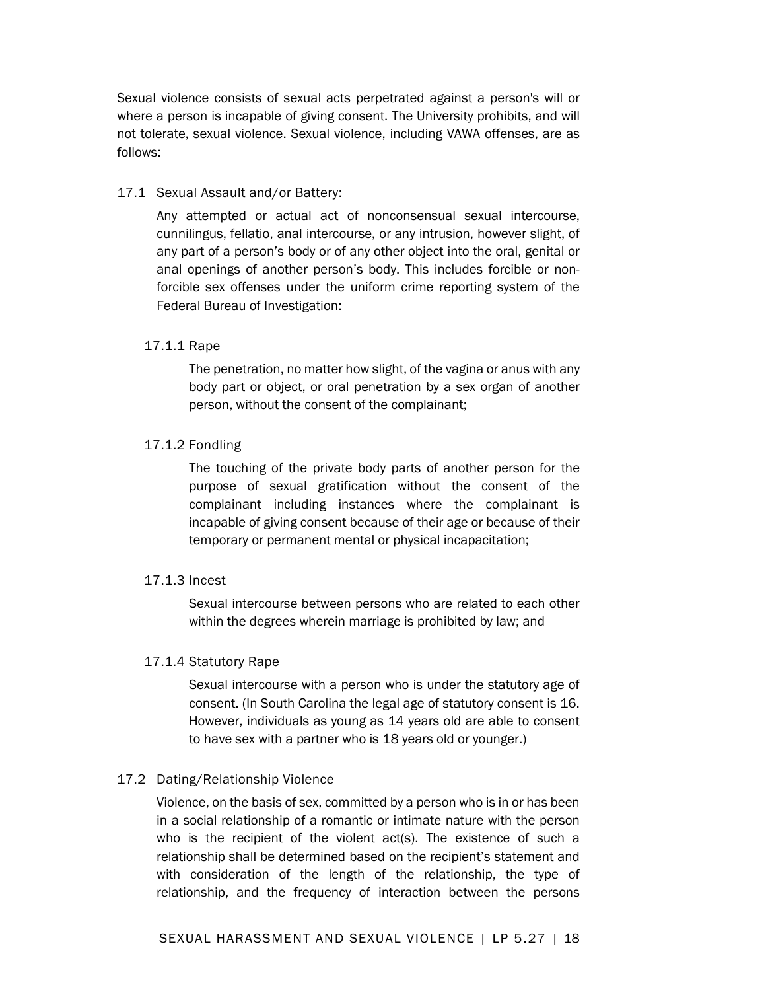Sexual violence consists of sexual acts perpetrated against a person's will or where a person is incapable of giving consent. The University prohibits, and will not tolerate, sexual violence. Sexual violence, including VAWA offenses, are as follows:

#### 17.1 Sexual Assault and/or Battery:

Any attempted or actual act of nonconsensual sexual intercourse, cunnilingus, fellatio, anal intercourse, or any intrusion, however slight, of any part of a person's body or of any other object into the oral, genital or anal openings of another person's body. This includes forcible or nonforcible sex offenses under the uniform crime reporting system of the Federal Bureau of Investigation:

#### 17.1.1 Rape

The penetration, no matter how slight, of the vagina or anus with any body part or object, or oral penetration by a sex organ of another person, without the consent of the complainant;

#### 17.1.2 Fondling

The touching of the private body parts of another person for the purpose of sexual gratification without the consent of the complainant including instances where the complainant is incapable of giving consent because of their age or because of their temporary or permanent mental or physical incapacitation;

#### 17.1.3 Incest

Sexual intercourse between persons who are related to each other within the degrees wherein marriage is prohibited by law; and

#### 17.1.4 Statutory Rape

Sexual intercourse with a person who is under the statutory age of consent. (In South Carolina the legal age of statutory consent is 16. However, individuals as young as 14 years old are able to consent to have sex with a partner who is 18 years old or younger.)

#### 17.2 Dating/Relationship Violence

Violence, on the basis of sex, committed by a person who is in or has been in a social relationship of a romantic or intimate nature with the person who is the recipient of the violent act(s). The existence of such a relationship shall be determined based on the recipient's statement and with consideration of the length of the relationship, the type of relationship, and the frequency of interaction between the persons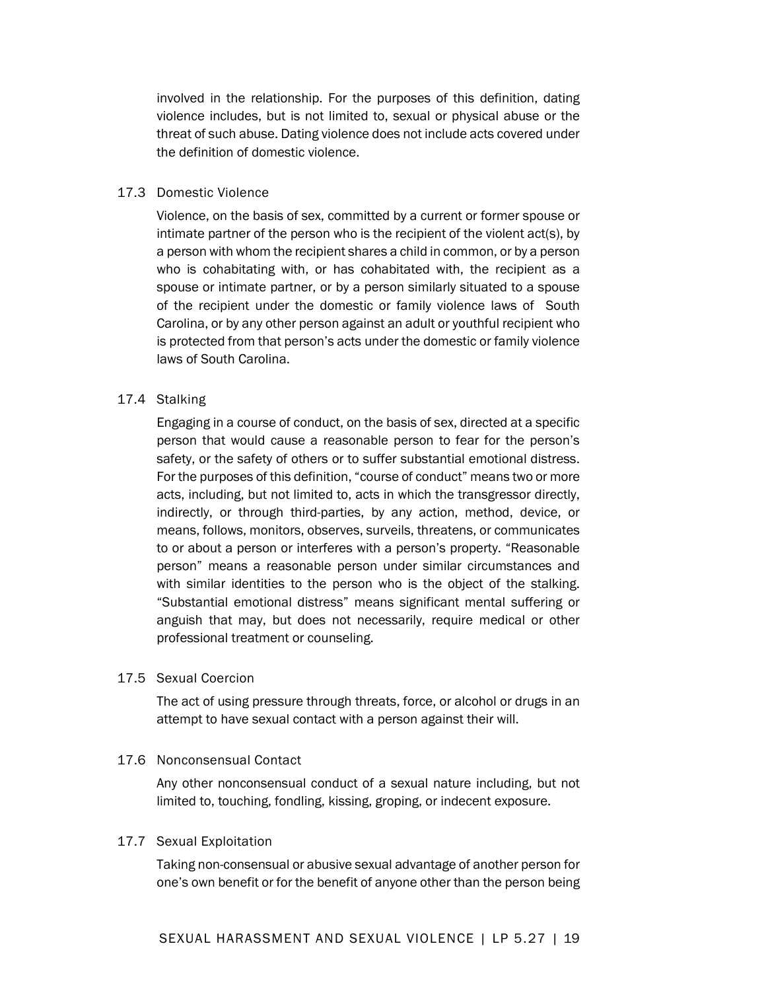involved in the relationship. For the purposes of this definition, dating violence includes, but is not limited to, sexual or physical abuse or the threat of such abuse. Dating violence does not include acts covered under the definition of domestic violence.

#### 17.3 Domestic Violence

Violence, on the basis of sex, committed by a current or former spouse or intimate partner of the person who is the recipient of the violent act(s), by a person with whom the recipient shares a child in common, or by a person who is cohabitating with, or has cohabitated with, the recipient as a spouse or intimate partner, or by a person similarly situated to a spouse of the recipient under the domestic or family violence laws of South Carolina, or by any other person against an adult or youthful recipient who is protected from that person's acts under the domestic or family violence laws of South Carolina.

#### 17.4 Stalking

Engaging in a course of conduct, on the basis of sex, directed at a specific person that would cause a reasonable person to fear for the person's safety, or the safety of others or to suffer substantial emotional distress. For the purposes of this definition, "course of conduct" means two or more acts, including, but not limited to, acts in which the transgressor directly, indirectly, or through third-parties, by any action, method, device, or means, follows, monitors, observes, surveils, threatens, or communicates to or about a person or interferes with a person's property. "Reasonable person" means a reasonable person under similar circumstances and with similar identities to the person who is the object of the stalking. "Substantial emotional distress" means significant mental suffering or anguish that may, but does not necessarily, require medical or other professional treatment or counseling.

#### 17.5 Sexual Coercion

The act of using pressure through threats, force, or alcohol or drugs in an attempt to have sexual contact with a person against their will.

#### 17.6 Nonconsensual Contact

Any other nonconsensual conduct of a sexual nature including, but not limited to, touching, fondling, kissing, groping, or indecent exposure.

#### 17.7 Sexual Exploitation

Taking non-consensual or abusive sexual advantage of another person for one's own benefit or for the benefit of anyone other than the person being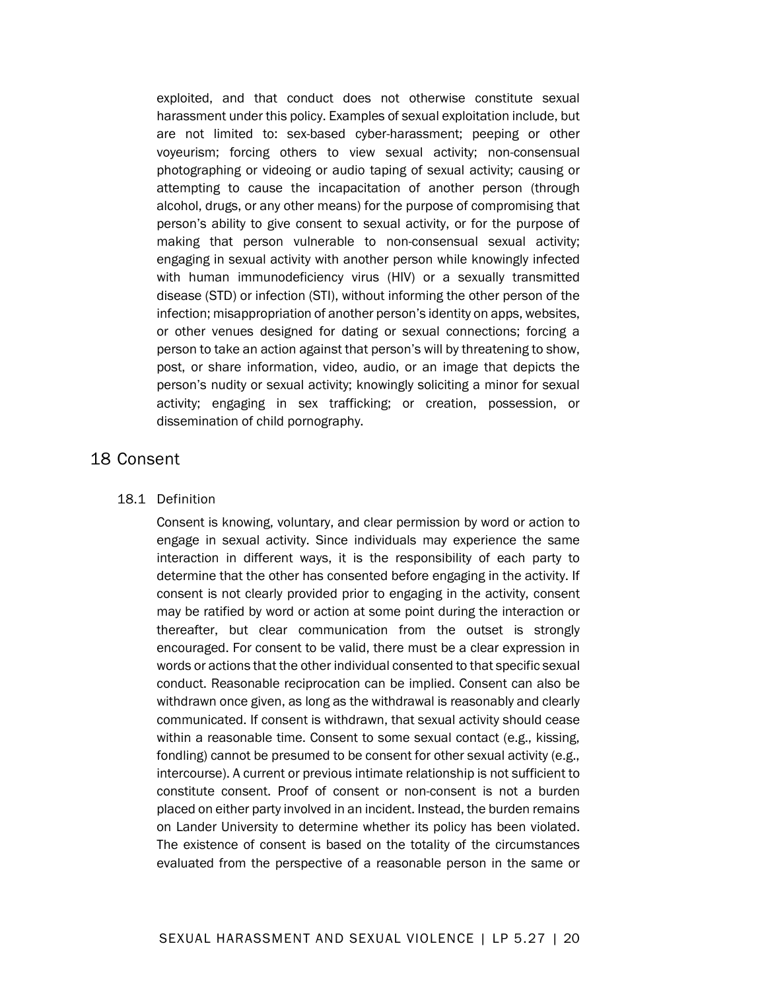exploited, and that conduct does not otherwise constitute sexual harassment under this policy. Examples of sexual exploitation include, but are not limited to: sex-based cyber-harassment; peeping or other voyeurism; forcing others to view sexual activity; non-consensual photographing or videoing or audio taping of sexual activity; causing or attempting to cause the incapacitation of another person (through alcohol, drugs, or any other means) for the purpose of compromising that person's ability to give consent to sexual activity, or for the purpose of making that person vulnerable to non-consensual sexual activity; engaging in sexual activity with another person while knowingly infected with human immunodeficiency virus (HIV) or a sexually transmitted disease (STD) or infection (STI), without informing the other person of the infection; misappropriation of another person's identity on apps, websites, or other venues designed for dating or sexual connections; forcing a person to take an action against that person's will by threatening to show, post, or share information, video, audio, or an image that depicts the person's nudity or sexual activity; knowingly soliciting a minor for sexual activity; engaging in sex trafficking; or creation, possession, or dissemination of child pornography.

## 18 Consent

#### 18.1 Definition

Consent is knowing, voluntary, and clear permission by word or action to engage in sexual activity. Since individuals may experience the same interaction in different ways, it is the responsibility of each party to determine that the other has consented before engaging in the activity. If consent is not clearly provided prior to engaging in the activity, consent may be ratified by word or action at some point during the interaction or thereafter, but clear communication from the outset is strongly encouraged. For consent to be valid, there must be a clear expression in words or actions that the other individual consented to that specific sexual conduct. Reasonable reciprocation can be implied. Consent can also be withdrawn once given, as long as the withdrawal is reasonably and clearly communicated. If consent is withdrawn, that sexual activity should cease within a reasonable time. Consent to some sexual contact (e.g., kissing, fondling) cannot be presumed to be consent for other sexual activity (e.g., intercourse). A current or previous intimate relationship is not sufficient to constitute consent. Proof of consent or non-consent is not a burden placed on either party involved in an incident. Instead, the burden remains on Lander University to determine whether its policy has been violated. The existence of consent is based on the totality of the circumstances evaluated from the perspective of a reasonable person in the same or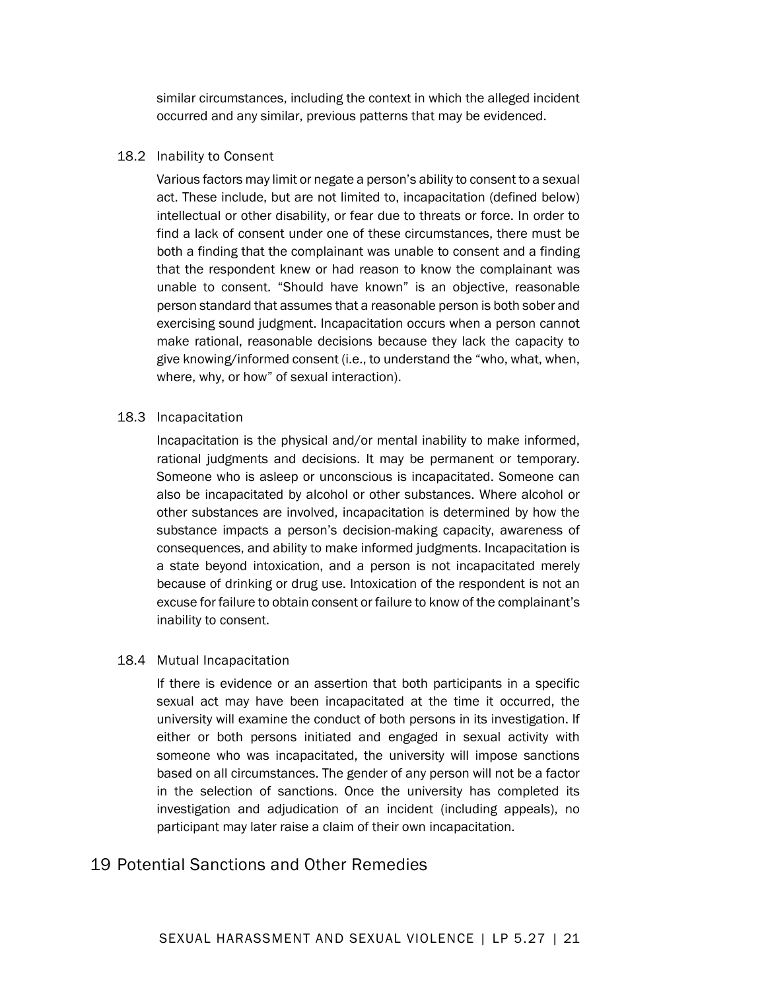similar circumstances, including the context in which the alleged incident occurred and any similar, previous patterns that may be evidenced.

#### 18.2 Inability to Consent

Various factors may limit or negate a person's ability to consent to a sexual act. These include, but are not limited to, incapacitation (defined below) intellectual or other disability, or fear due to threats or force. In order to find a lack of consent under one of these circumstances, there must be both a finding that the complainant was unable to consent and a finding that the respondent knew or had reason to know the complainant was unable to consent. "Should have known" is an objective, reasonable person standard that assumes that a reasonable person is both sober and exercising sound judgment. Incapacitation occurs when a person cannot make rational, reasonable decisions because they lack the capacity to give knowing/informed consent (i.e., to understand the "who, what, when, where, why, or how" of sexual interaction).

#### 18.3 Incapacitation

Incapacitation is the physical and/or mental inability to make informed, rational judgments and decisions. It may be permanent or temporary. Someone who is asleep or unconscious is incapacitated. Someone can also be incapacitated by alcohol or other substances. Where alcohol or other substances are involved, incapacitation is determined by how the substance impacts a person's decision-making capacity, awareness of consequences, and ability to make informed judgments. Incapacitation is a state beyond intoxication, and a person is not incapacitated merely because of drinking or drug use. Intoxication of the respondent is not an excuse for failure to obtain consent or failure to know of the complainant's inability to consent.

#### 18.4 Mutual Incapacitation

If there is evidence or an assertion that both participants in a specific sexual act may have been incapacitated at the time it occurred, the university will examine the conduct of both persons in its investigation. If either or both persons initiated and engaged in sexual activity with someone who was incapacitated, the university will impose sanctions based on all circumstances. The gender of any person will not be a factor in the selection of sanctions. Once the university has completed its investigation and adjudication of an incident (including appeals), no participant may later raise a claim of their own incapacitation.

## 19 Potential Sanctions and Other Remedies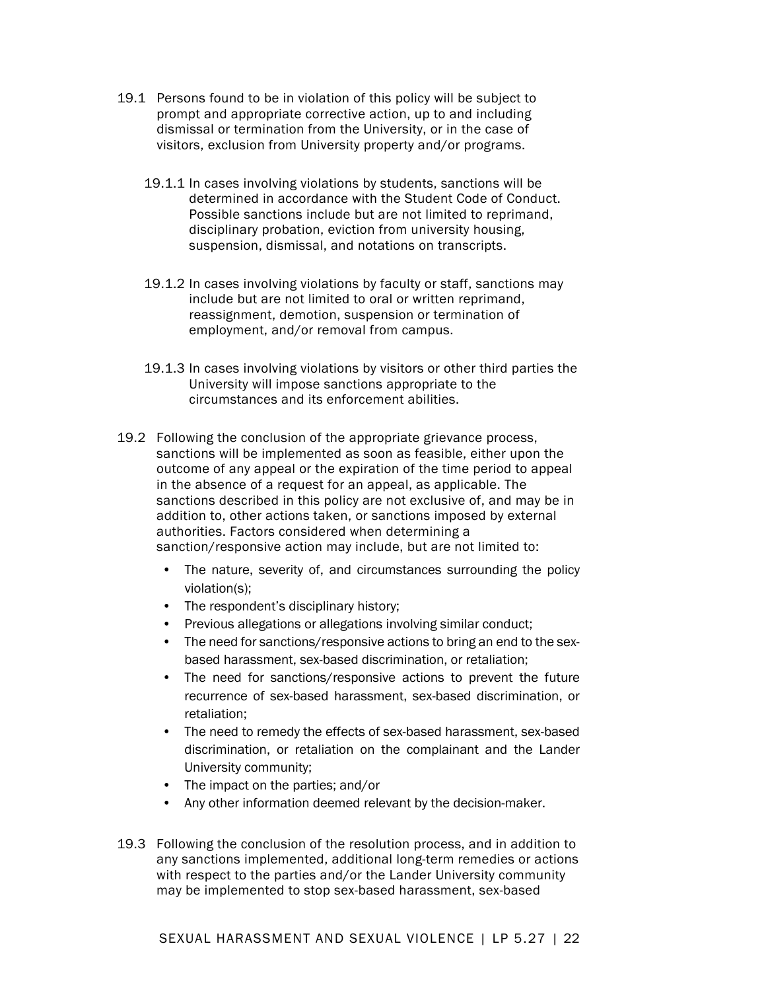- 19.1 Persons found to be in violation of this policy will be subject to prompt and appropriate corrective action, up to and including dismissal or termination from the University, or in the case of visitors, exclusion from University property and/or programs.
	- 19.1.1 In cases involving violations by students, sanctions will be determined in accordance with the Student Code of Conduct. Possible sanctions include but are not limited to reprimand, disciplinary probation, eviction from university housing, suspension, dismissal, and notations on transcripts.
	- 19.1.2 In cases involving violations by faculty or staff, sanctions may include but are not limited to oral or written reprimand, reassignment, demotion, suspension or termination of employment, and/or removal from campus.
	- 19.1.3 In cases involving violations by visitors or other third parties the University will impose sanctions appropriate to the circumstances and its enforcement abilities.
- 19.2 Following the conclusion of the appropriate grievance process, sanctions will be implemented as soon as feasible, either upon the outcome of any appeal or the expiration of the time period to appeal in the absence of a request for an appeal, as applicable. The sanctions described in this policy are not exclusive of, and may be in addition to, other actions taken, or sanctions imposed by external authorities. Factors considered when determining a sanction/responsive action may include, but are not limited to:
	- The nature, severity of, and circumstances surrounding the policy violation(s);
	- The respondent's disciplinary history;
	- Previous allegations or allegations involving similar conduct;
	- The need for sanctions/responsive actions to bring an end to the sexbased harassment, sex-based discrimination, or retaliation;
	- The need for sanctions/responsive actions to prevent the future recurrence of sex-based harassment, sex-based discrimination, or retaliation;
	- The need to remedy the effects of sex-based harassment, sex-based discrimination, or retaliation on the complainant and the Lander University community;
	- The impact on the parties; and/or
	- Any other information deemed relevant by the decision-maker.
- 19.3 Following the conclusion of the resolution process, and in addition to any sanctions implemented, additional long-term remedies or actions with respect to the parties and/or the Lander University community may be implemented to stop sex-based harassment, sex-based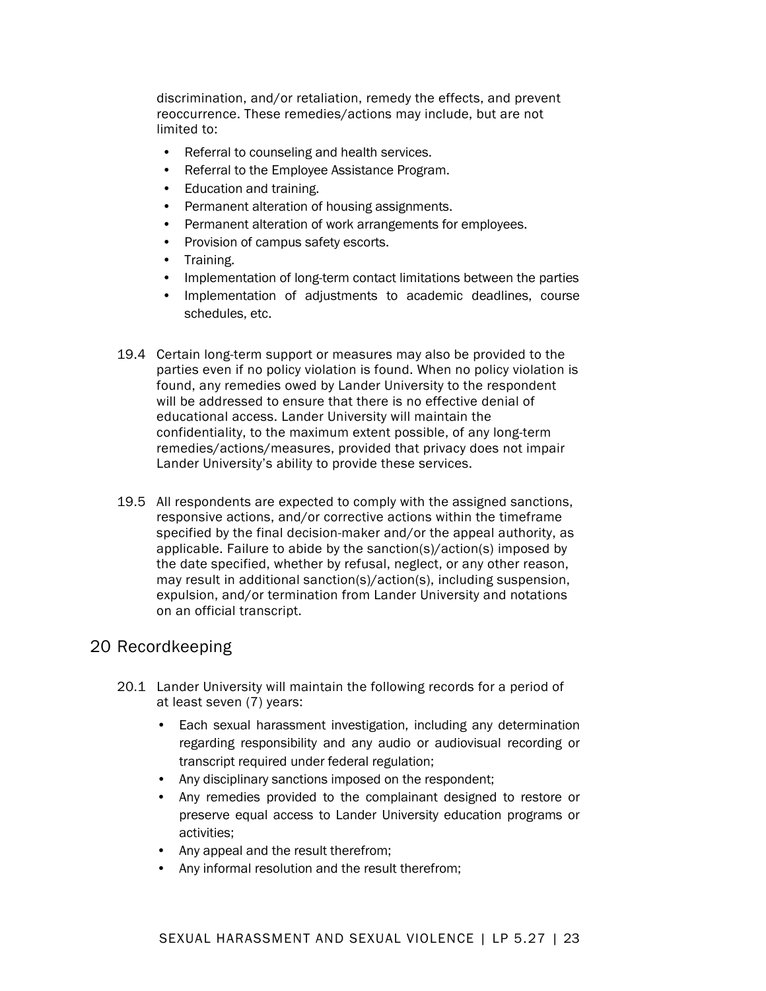discrimination, and/or retaliation, remedy the effects, and prevent reoccurrence. These remedies/actions may include, but are not limited to:

- Referral to counseling and health services.
- Referral to the Employee Assistance Program.
- Education and training.
- Permanent alteration of housing assignments.
- Permanent alteration of work arrangements for employees.
- Provision of campus safety escorts.
- Training.
- Implementation of long-term contact limitations between the parties
- Implementation of adjustments to academic deadlines, course schedules, etc.
- 19.4 Certain long-term support or measures may also be provided to the parties even if no policy violation is found. When no policy violation is found, any remedies owed by Lander University to the respondent will be addressed to ensure that there is no effective denial of educational access. Lander University will maintain the confidentiality, to the maximum extent possible, of any long-term remedies/actions/measures, provided that privacy does not impair Lander University's ability to provide these services.
- 19.5 All respondents are expected to comply with the assigned sanctions, responsive actions, and/or corrective actions within the timeframe specified by the final decision-maker and/or the appeal authority, as applicable. Failure to abide by the sanction(s)/action(s) imposed by the date specified, whether by refusal, neglect, or any other reason, may result in additional sanction(s)/action(s), including suspension, expulsion, and/or termination from Lander University and notations on an official transcript.

## 20 Recordkeeping

- 20.1 Lander University will maintain the following records for a period of at least seven (7) years:
	- Each sexual harassment investigation, including any determination regarding responsibility and any audio or audiovisual recording or transcript required under federal regulation;
	- Any disciplinary sanctions imposed on the respondent;
	- Any remedies provided to the complainant designed to restore or preserve equal access to Lander University education programs or activities;
	- Any appeal and the result therefrom;
	- Any informal resolution and the result therefrom;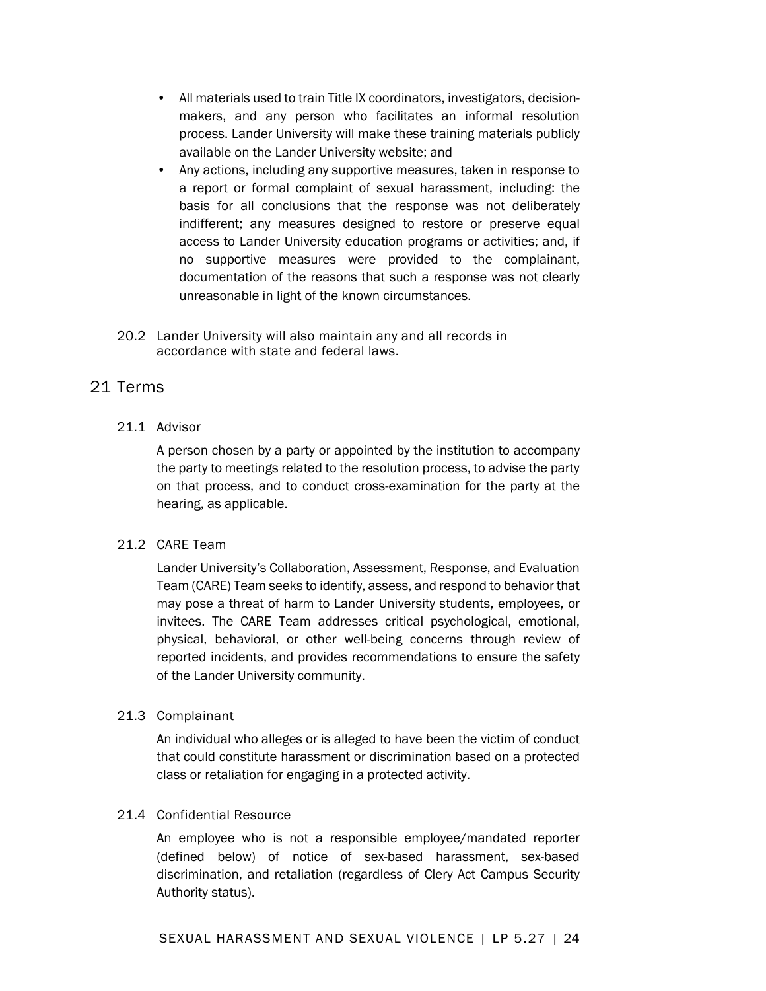- All materials used to train Title IX coordinators, investigators, decisionmakers, and any person who facilitates an informal resolution process. Lander University will make these training materials publicly available on the Lander University website; and
- Any actions, including any supportive measures, taken in response to a report or formal complaint of sexual harassment, including: the basis for all conclusions that the response was not deliberately indifferent; any measures designed to restore or preserve equal access to Lander University education programs or activities; and, if no supportive measures were provided to the complainant, documentation of the reasons that such a response was not clearly unreasonable in light of the known circumstances.
- 20.2 Lander University will also maintain any and all records in accordance with state and federal laws.

## 21 Terms

#### 21.1 Advisor

A person chosen by a party or appointed by the institution to accompany the party to meetings related to the resolution process, to advise the party on that process, and to conduct cross-examination for the party at the hearing, as applicable.

#### 21.2 CARE Team

Lander University's Collaboration, Assessment, Response, and Evaluation Team (CARE) Team seeks to identify, assess, and respond to behavior that may pose a threat of harm to Lander University students, employees, or invitees. The CARE Team addresses critical psychological, emotional, physical, behavioral, or other well-being concerns through review of reported incidents, and provides recommendations to ensure the safety of the Lander University community.

#### 21.3 Complainant

An individual who alleges or is alleged to have been the victim of conduct that could constitute harassment or discrimination based on a protected class or retaliation for engaging in a protected activity.

#### 21.4 Confidential Resource

An employee who is not a responsible employee/mandated reporter (defined below) of notice of sex-based harassment, sex-based discrimination, and retaliation (regardless of Clery Act Campus Security Authority status).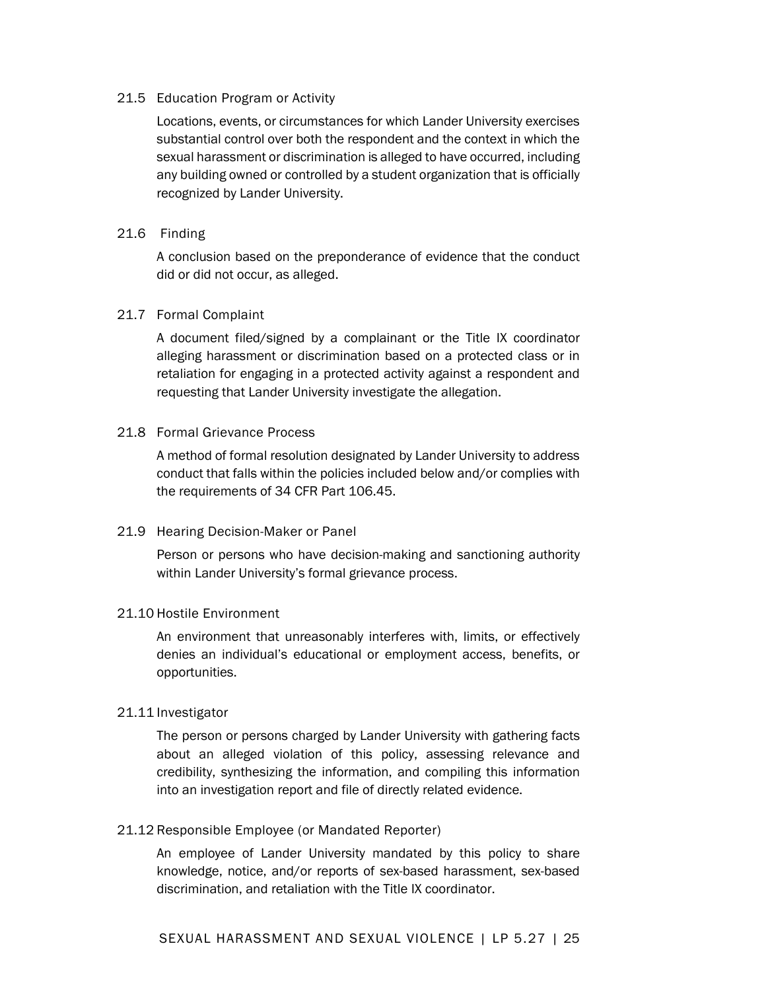#### 21.5 Education Program or Activity

Locations, events, or circumstances for which Lander University exercises substantial control over both the respondent and the context in which the sexual harassment or discrimination is alleged to have occurred, including any building owned or controlled by a student organization that is officially recognized by Lander University.

#### 21.6 Finding

A conclusion based on the preponderance of evidence that the conduct did or did not occur, as alleged.

#### 21.7 Formal Complaint

A document filed/signed by a complainant or the Title IX coordinator alleging harassment or discrimination based on a protected class or in retaliation for engaging in a protected activity against a respondent and requesting that Lander University investigate the allegation.

#### 21.8 Formal Grievance Process

A method of formal resolution designated by Lander University to address conduct that falls within the policies included below and/or complies with the requirements of 34 CFR Part 106.45.

#### 21.9 Hearing Decision-Maker or Panel

Person or persons who have decision-making and sanctioning authority within Lander University's formal grievance process.

#### 21.10 Hostile Environment

An environment that unreasonably interferes with, limits, or effectively denies an individual's educational or employment access, benefits, or opportunities.

#### 21.11 Investigator

The person or persons charged by Lander University with gathering facts about an alleged violation of this policy, assessing relevance and credibility, synthesizing the information, and compiling this information into an investigation report and file of directly related evidence.

#### 21.12 Responsible Employee (or Mandated Reporter)

An employee of Lander University mandated by this policy to share knowledge, notice, and/or reports of sex-based harassment, sex-based discrimination, and retaliation with the Title IX coordinator.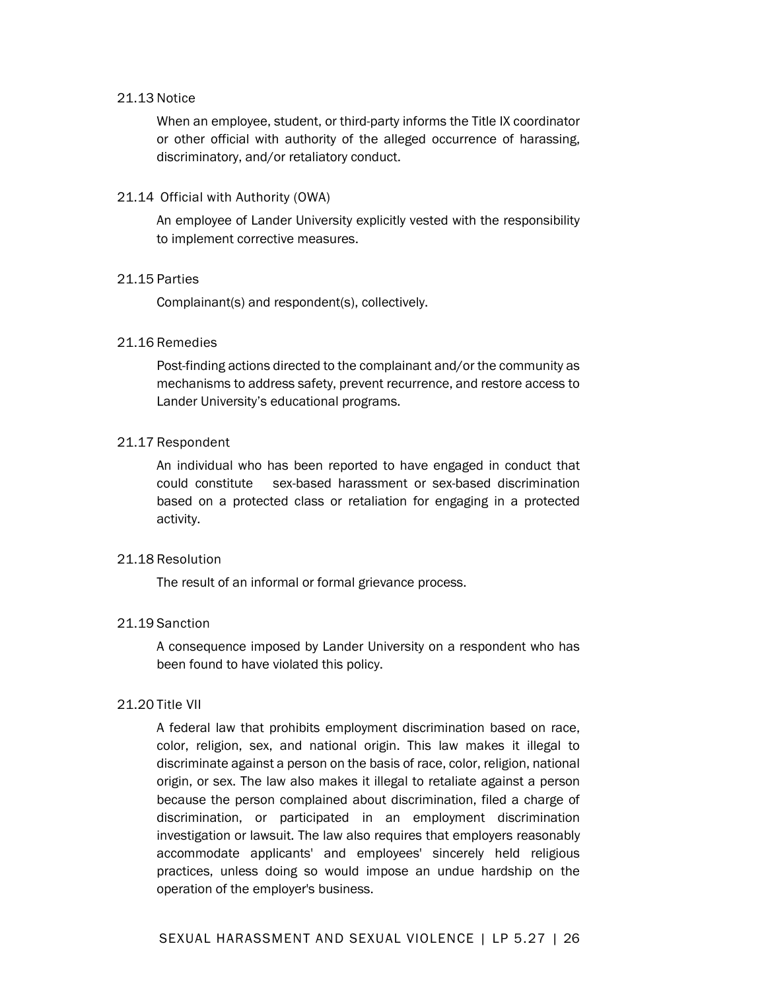#### 21.13 Notice

When an employee, student, or third-party informs the Title IX coordinator or other official with authority of the alleged occurrence of harassing, discriminatory, and/or retaliatory conduct.

#### 21.14 Official with Authority (OWA)

An employee of Lander University explicitly vested with the responsibility to implement corrective measures.

#### 21.15 Parties

Complainant(s) and respondent(s), collectively.

#### 21.16 Remedies

Post-finding actions directed to the complainant and/or the community as mechanisms to address safety, prevent recurrence, and restore access to Lander University's educational programs.

#### 21.17 Respondent

An individual who has been reported to have engaged in conduct that could constitute sex-based harassment or sex-based discrimination based on a protected class or retaliation for engaging in a protected activity.

#### 21.18 Resolution

The result of an informal or formal grievance process.

#### 21.19 Sanction

A consequence imposed by Lander University on a respondent who has been found to have violated this policy.

#### 21.20 Title VII

A federal law that prohibits employment discrimination based on race, color, religion, sex, and national origin. This law makes it illegal to discriminate against a person on the basis of race, color, religion, national origin, or sex. The law also makes it illegal to retaliate against a person because the person complained about discrimination, filed a charge of discrimination, or participated in an employment discrimination investigation or lawsuit. The law also requires that employers reasonably accommodate applicants' and employees' sincerely held religious practices, unless doing so would impose an undue hardship on the operation of the employer's business.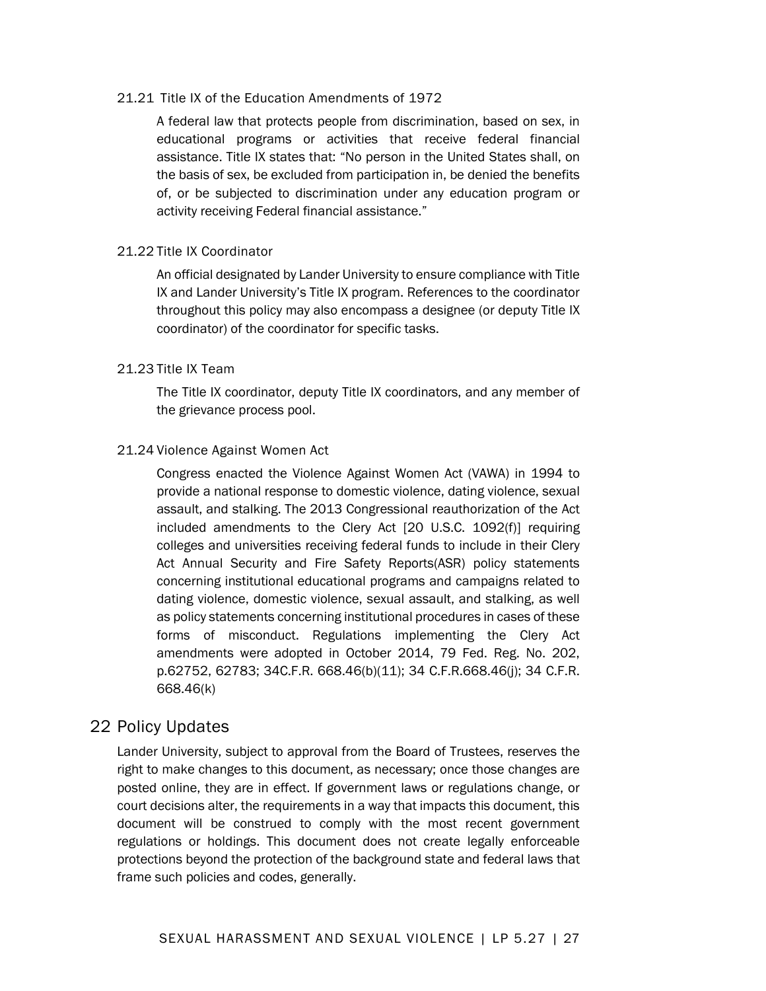#### 21.21 Title IX of the Education Amendments of 1972

A federal law that protects people from discrimination, based on sex, in educational programs or activities that receive federal financial assistance. Title IX states that: "No person in the United States shall, on the basis of sex, be excluded from participation in, be denied the benefits of, or be subjected to discrimination under any education program or activity receiving Federal financial assistance."

#### 21.22 Title IX Coordinator

An official designated by Lander University to ensure compliance with Title IX and Lander University's Title IX program. References to the coordinator throughout this policy may also encompass a designee (or deputy Title IX coordinator) of the coordinator for specific tasks.

#### 21.23 Title IX Team

The Title IX coordinator, deputy Title IX coordinators, and any member of the grievance process pool.

#### 21.24 Violence Against Women Act

Congress enacted the Violence Against Women Act (VAWA) in 1994 to provide a national response to domestic violence, dating violence, sexual assault, and stalking. The 2013 Congressional reauthorization of the Act included amendments to the Clery Act [20 U.S.C. 1092(f)] requiring colleges and universities receiving federal funds to include in their Clery Act Annual Security and Fire Safety Reports(ASR) policy statements concerning institutional educational programs and campaigns related to dating violence, domestic violence, sexual assault, and stalking, as well as policy statements concerning institutional procedures in cases of these forms of misconduct. Regulations implementing the Clery Act amendments were adopted in October 2014, 79 Fed. Reg. No. 202, p.62752, 62783; 34C.F.R. 668.46(b)(11); 34 C.F.R.668.46(j); 34 C.F.R. 668.46(k)

## 22 Policy Updates

Lander University, subject to approval from the Board of Trustees, reserves the right to make changes to this document, as necessary; once those changes are posted online, they are in effect. If government laws or regulations change, or court decisions alter, the requirements in a way that impacts this document, this document will be construed to comply with the most recent government regulations or holdings. This document does not create legally enforceable protections beyond the protection of the background state and federal laws that frame such policies and codes, generally.